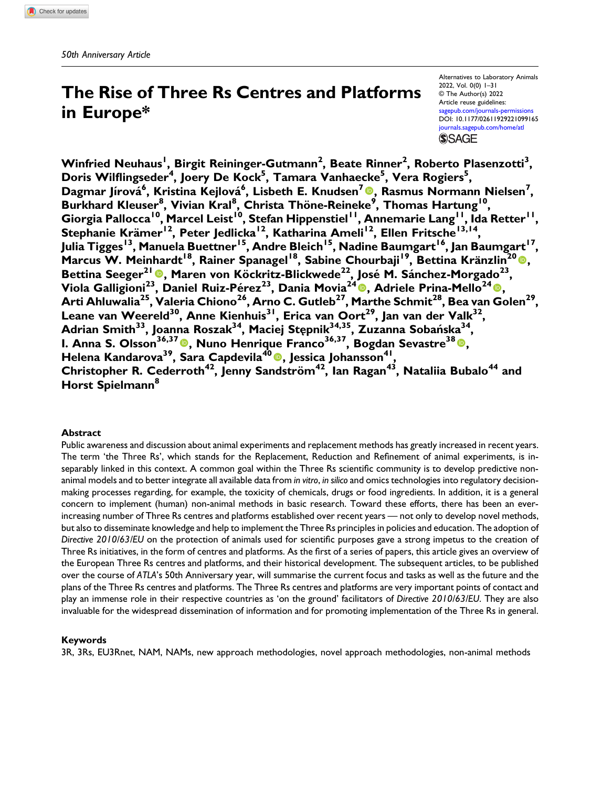# The Rise of Three Rs Centres and Platforms in Europe\*

Alternatives to Laboratory Animals 2022, Vol. 0(0) 1–31 © The Author(s) 2022 Article reuse guidelines: [sagepub.com/journals-permissions](https://uk.sagepub.com/en-gb/journals-permissions) DOI: [10.1177/02611929221099165](https://doi.org/10.1177/02611929221099165) [journals.sagepub.com/home/atl](https://journals.sagepub.com/home/atl) **SSAGE** 

Winfried Neuhaus<sup>I</sup>, Birgit Reininger-Gutmann<sup>2</sup>, Beate Rinner<sup>2</sup>, Roberto Plasenzotti<sup>3</sup>, Doris Wilflingseder<sup>4</sup>, Joery De Kock<sup>5</sup>, Tamara Vanhaecke<sup>5</sup>, Vera Rogiers<sup>5</sup>, Dagmar Jírová<sup>6</sup>, Kristina Kejlová<sup>6</sup>, Lisbeth E. Knudsen<sup>7</sup> ®, Rasmus Normann Nielsen<sup>7</sup>, Burkhard Kleuser<sup>8</sup>, Vivian Kral<sup>8</sup>, Christa Thöne-Reineke<sup>9</sup>, Thomas Hartung<sup>10</sup>, Giorgia Pallocca<sup>10</sup>, Marcel Leist<sup>10</sup>, Stefan Hippenstiel<sup>11</sup>, Annemarie Lang<sup>11</sup>, Ida Retter<sup>11</sup>, Stephanie Krämer<sup>12</sup>, Peter Jedlicka<sup>12</sup>, Katharina Ameli<sup>12</sup>, Ellen Fritsche<sup>13,14</sup>, Julia Tigges<sup>13</sup>, Manuela Buettner<sup>15</sup>, Andre Bleich<sup>15</sup>, Nadine Baumgart<sup>16</sup>, Jan Baumgart<sup>17</sup>, Marcus W. Meinhardt<sup>18</sup>, Rainer Spanagel<sup>18</sup>, Sabine Chourbaji<sup>19</sup>, Bettina Kränzlin<sup>20</sup>®, Bettina Seeger<sup>21</sup>®, Maren von Köckritz-Blickwede<sup>22</sup>, José M. Sánchez-Morgado<sup>23</sup>, Viola Galligioni<sup>23</sup>, Daniel Ruiz-Pérez<sup>23</sup>, Dania Movia<sup>24</sup>®, Adriele Prina-Mello<sup>24</sup>®, Arti Ahluwalia $^{25}$ , Valeria Chiono $^{26}$ , Arno C. Gutleb $^{27}$ , Marthe Schmit $^{28}$ , Bea van Golen $^{29}$ , Leane van Weereld<sup>30</sup>, Anne Kienhuis<sup>31</sup>, Erica van Oort<sup>29</sup>, Jan van der Valk<sup>32</sup>, Adrian Smith<sup>33</sup>, Joanna Roszak<sup>34</sup>, Maciej Stępnik<sup>34,35</sup>, Zuzanna Sobańska<sup>34</sup>, I. Anna S. Olsson<sup>36,37</sup><sup>®</sup>, Nuno Henrique Franco<sup>36,37</sup>, Bogdan Sevastre<sup>38</sup><sup>®</sup>, Helena Kandarova<sup>39</sup>, Sara Capdevila<sup>40</sup><sup>0</sup>, Jessica Johansson<sup>41</sup>, Christopher R. Cederroth<sup>42</sup>, Jenny Sandström<sup>42</sup>, Ian Ragan<sup>43</sup>, Nataliia Bubalo<sup>44</sup> and Horst Spielmann<sup>8</sup>

# Abstract

Public awareness and discussion about animal experiments and replacement methods has greatly increased in recent years. The term 'the Three Rs', which stands for the Replacement, Reduction and Refinement of animal experiments, is inseparably linked in this context. A common goal within the Three Rs scientific community is to develop predictive nonanimal models and to better integrate all available data from in vitro, in silico and omics technologies into regulatory decisionmaking processes regarding, for example, the toxicity of chemicals, drugs or food ingredients. In addition, it is a general concern to implement (human) non-animal methods in basic research. Toward these efforts, there has been an everincreasing number of Three Rs centres and platforms established over recent years — not only to develop novel methods, but also to disseminate knowledge and help to implement the Three Rs principles in policies and education. The adoption of Directive 2010/63/EU on the protection of animals used for scientific purposes gave a strong impetus to the creation of Three Rs initiatives, in the form of centres and platforms. As the first of a series of papers, this article gives an overview of the European Three Rs centres and platforms, and their historical development. The subsequent articles, to be published over the course of ATLA's 50th Anniversary year, will summarise the current focus and tasks as well as the future and the plans of the Three Rs centres and platforms. The Three Rs centres and platforms are very important points of contact and play an immense role in their respective countries as 'on the ground' facilitators of Directive 2010/63/EU. They are also invaluable for the widespread dissemination of information and for promoting implementation of the Three Rs in general.

# Keywords

3R, 3Rs, EU3Rnet, NAM, NAMs, new approach methodologies, novel approach methodologies, non-animal methods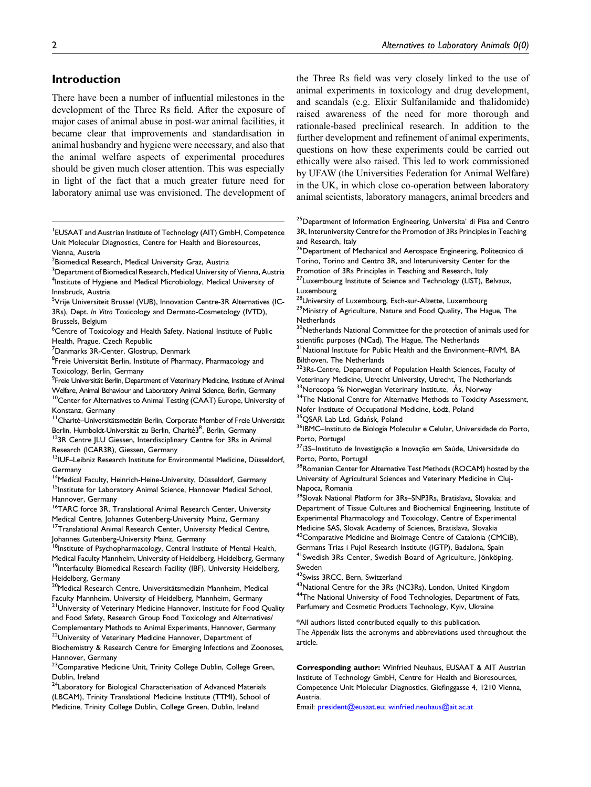# Introduction

There have been a number of influential milestones in the development of the Three Rs field. After the exposure of major cases of animal abuse in post-war animal facilities, it became clear that improvements and standardisation in animal husbandry and hygiene were necessary, and also that the animal welfare aspects of experimental procedures should be given much closer attention. This was especially in light of the fact that a much greater future need for laboratory animal use was envisioned. The development of

- <sup>1</sup> EUSAAT and Austrian Institute of Technology (AIT) GmbH, Competence Unit Molecular Diagnostics, Centre for Health and Bioresources, Vienna, Austria
- $^{\rm 2}$ Biomedical Research, Medical University Graz, Austria
- $^3$ Department of Biomedical Research, Medical University of Vienna, Austria <sup>4</sup>Institute of Hygiene and Medical Microbiology, Medical University of Innsbruck, Austria
- <sup>5</sup>Vrije Universiteit Brussel (VUB), Innovation Centre-3R Alternatives (IC-3Rs), Dept. In Vitro Toxicology and Dermato-Cosmetology (IVTD), Brussels, Belgium
- <sup>6</sup>Centre of Toxicology and Health Safety, National Institute of Public Health, Prague, Czech Republic
- <sup>7</sup>Danmarks 3R-Center, Glostrup, Denmark
- <sup>8</sup>Freie Universität Berlin, Institute of Pharmacy, Pharmacology and Toxicology, Berlin, Germany
- <sup>9</sup> Freie Universität Berlin, Department of Veterinary Medicine, Institute of Animal
- Welfare, Animal Behaviour and Laboratory Animal Science, Berlin, Germany <sup>10</sup>Center for Alternatives to Animal Testing (CAAT) Europe, University of Konstanz, Germany
- <sup>11</sup> Charité–Universitätsmedizin Berlin, Corporate Member of Freie Universität Berlin, Humboldt-Universität zu Berlin, Charité3<sup>R</sup>, Berlin, Germany
- $123R$  Centre JLU Giessen, Interdisciplinary Centre for 3Rs in Animal Research (ICAR3R), Giessen, Germany
- <sup>13</sup>IUF-Leibniz Research Institute for Environmental Medicine, Düsseldorf, Germany
- <sup>14</sup>Medical Faculty, Heinrich-Heine-University, Düsseldorf, Germany <sup>15</sup>Institute for Laboratory Animal Science, Hannover Medical School, Hannover, Germany
- <sup>16</sup>TARC force 3R, Translational Animal Research Center, University Medical Centre, Johannes Gutenberg-University Mainz, Germany
- <sup>17</sup>Translational Animal Research Center, University Medical Centre, Johannes Gutenberg-University Mainz, Germany<br><sup>18</sup>Institute of Psychopharmacology, Central Institute of Mental Health,
- Medical Faculty Mannheim, University of Heidelberg, Heidelberg, Germany
- <sup>19</sup>Interfaculty Biomedical Research Facility (IBF), University Heidelberg, Heidelberg, Germany
- <sup>20</sup>Medical Research Centre, Universitätsmedizin Mannheim, Medical Faculty Mannheim, University of Heidelberg, Mannheim, Germany <sup>21</sup>University of Veterinary Medicine Hannover, Institute for Food Quality and Food Safety, Research Group Food Toxicology and Alternatives/ Complementary Methods to Animal Experiments, Hannover, Germany <sup>22</sup>University of Veterinary Medicine Hannover, Department of
- Biochemistry & Research Centre for Emerging Infections and Zoonoses, Hannover, Germany
- <sup>23</sup> Comparative Medicine Unit, Trinity College Dublin, College Green, Dublin, Ireland
- 24Laboratory for Biological Characterisation of Advanced Materials (LBCAM), Trinity Translational Medicine Institute (TTMI), School of Medicine, Trinity College Dublin, College Green, Dublin, Ireland

the Three Rs field was very closely linked to the use of animal experiments in toxicology and drug development, and scandals (e.g. Elixir Sulfanilamide and thalidomide) raised awareness of the need for more thorough and rationale-based preclinical research. In addition to the further development and refinement of animal experiments, questions on how these experiments could be carried out ethically were also raised. This led to work commissioned by UFAW (the Universities Federation for Animal Welfare) in the UK, in which close co-operation between laboratory animal scientists, laboratory managers, animal breeders and

- <sup>25</sup>Department of Information Engineering, Universita' di Pisa and Centro 3R, Interuniversity Centre for the Promotion of 3Rs Principles in Teaching and Research, Italy
- <sup>26</sup>Department of Mechanical and Aerospace Engineering, Politecnico di Torino, Torino and Centro 3R, and Interuniversity Center for the
- Promotion of 3Rs Principles in Teaching and Research, Italy <sup>27</sup>Luxembourg Institute of Science and Technology (LIST), Belvaux,
- Luxembourg
- <sup>28</sup>University of Luxembourg, Esch-sur-Alzette, Luxembourg <sup>29</sup>Ministry of Agriculture, Nature and Food Quality, The Hague, The **Netherlands**
- <sup>30</sup>Netherlands National Committee for the protection of animals used for
- scientific purposes (NCad), The Hague, The Netherlands<br><sup>31</sup>National Institute for Public Health and the Environment–RIVM, BA Bilthoven, The Netherlands
- 323Rs-Centre, Department of Population Health Sciences, Faculty of Veterinary Medicine, Utrecht University, Utrecht, The Netherlands
- 33Norecopa % Norwegian Veterinary Institute, Ås, Norway <sup>34</sup>The National Centre for Alternative Methods to Toxicity Assessment,
- Nofer Institute of Occupational Medicine, Łódź, Poland<br><sup>35</sup>QSAR Lab Ltd, Gdańsk, Poland<br><sup>36</sup>IBMC–Instituto de Biologia Molecular e Celular, Universidade do Porto,
- 
- Porto, Portugal
- 37i3S-Instituto de Investigação e Inovação em Saúde, Universidade do Porto, Porto, Portugal
- <sup>8</sup>Romanian Center for Alternative Test Methods (ROCAM) hosted by the University of Agricultural Sciences and Veterinary Medicine in Cluj-Napoca, Romania
- <sup>39</sup>Slovak National Platform for 3Rs-SNP3Rs, Bratislava, Slovakia; and Department of Tissue Cultures and Biochemical Engineering, Institute of Experimental Pharmacology and Toxicology, Centre of Experimental Medicine SAS, Slovak Academy of Sciences, Bratislava, Slovakia <sup>40</sup>Comparative Medicine and Bioimage Centre of Catalonia (CMCiB),
- Germans Trias i Pujol Research Institute (IGTP), Badalona, Spain <sup>41</sup>Swedish 3Rs Center, Swedish Board of Agriculture, Jönköping, Sweden
- 42Swiss 3RCC, Bern, Switzerland
- <sup>43</sup>National Centre for the 3Rs (NC3Rs), London, United Kingdom 44The National University of Food Technologies, Department of Fats, Perfumery and Cosmetic Products Technology, Kyiv, Ukraine
- \*All authors listed contributed equally to this publication. The Appendix lists the acronyms and abbreviations used throughout the article.
- Corresponding author: Winfried Neuhaus, EUSAAT & AIT Austrian Institute of Technology GmbH, Centre for Health and Bioresources, Competence Unit Molecular Diagnostics, Giefinggasse 4, 1210 Vienna, Austria.
- Email: [president@eusaat.eu](mailto:president@eusaat.eu); [winfried.neuhaus@ait.ac.at](mailto:winfried.neuhaus@ait.ac.at)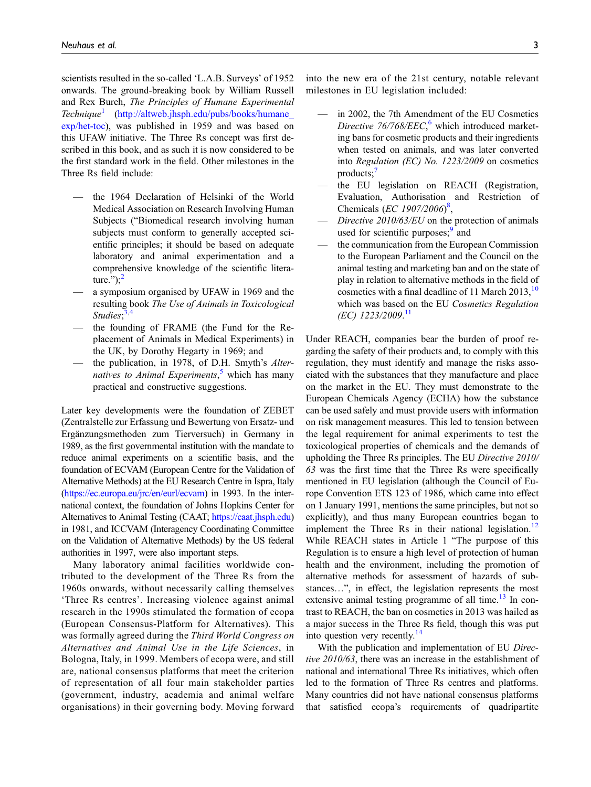scientists resulted in the so-called 'L.A.B. Surveys' of 1952 onwards. The ground-breaking book by William Russell and Rex Burch, The Principles of Humane Experimental  $Technique<sup>1</sup>$  $Technique<sup>1</sup>$  $Technique<sup>1</sup>$  (http://altweb.jhsph.edu/pubs/books/humane [exp/het-toc](http://altweb.jhsph.edu/pubs/books/humane_exp/het-toc)), was published in 1959 and was based on this UFAW initiative. The Three Rs concept was first described in this book, and as such it is now considered to be the first standard work in the field. Other milestones in the Three Rs field include:

- the 1964 Declaration of Helsinki of the World Medical Association on Research Involving Human Subjects ("Biomedical research involving human subjects must conform to generally accepted scientific principles; it should be based on adequate laboratory and animal experimentation and a comprehensive knowledge of the scientific literature."); $^2$  $^2$
- a symposium organised by UFAW in 1969 and the resulting book The Use of Animals in Toxicological Studies;<sup>[3,](#page-26-2)[4](#page-26-3)</sup>
- the founding of FRAME (the Fund for the Replacement of Animals in Medical Experiments) in the UK, by Dorothy Hegarty in 1969; and
- the publication, in 1978, of D.H. Smyth's Alter-natives to Animal Experiments,<sup>[5](#page-26-4)</sup> which has many practical and constructive suggestions.

Later key developments were the foundation of ZEBET (Zentralstelle zur Erfassung und Bewertung von Ersatz- und Ergänzungsmethoden zum Tierversuch) in Germany in 1989, as the first governmental institution with the mandate to reduce animal experiments on a scientific basis, and the foundation of ECVAM (European Centre for the Validation of Alternative Methods) at the EU Research Centre in Ispra, Italy [\(https://ec.europa.eu/jrc/en/eurl/ecvam](https://ec.europa.eu/jrc/en/eurl/ecvam)) in 1993. In the international context, the foundation of Johns Hopkins Center for Alternatives to Animal Testing (CAAT; <https://caat.jhsph.edu>) in 1981, and ICCVAM (Interagency Coordinating Committee on the Validation of Alternative Methods) by the US federal authorities in 1997, were also important steps.

Many laboratory animal facilities worldwide contributed to the development of the Three Rs from the 1960s onwards, without necessarily calling themselves 'Three Rs centres'. Increasing violence against animal research in the 1990s stimulated the formation of ecopa (European Consensus-Platform for Alternatives). This was formally agreed during the Third World Congress on Alternatives and Animal Use in the Life Sciences, in Bologna, Italy, in 1999. Members of ecopa were, and still are, national consensus platforms that meet the criterion of representation of all four main stakeholder parties (government, industry, academia and animal welfare organisations) in their governing body. Moving forward into the new era of the 21st century, notable relevant milestones in EU legislation included:

- in 2002, the 7th Amendment of the EU Cosmetics Directive  $76/768/EEC$  $76/768/EEC$  $76/768/EEC$ , which introduced marketing bans for cosmetic products and their ingredients when tested on animals, and was later converted into Regulation (EC) No. 1223/2009 on cosmetics  $products;$
- the EU legislation on REACH (Registration, Evaluation, Authorisation and Restriction of Chemicals (EC 1907/2006)<sup>[8](#page-26-7)</sup>,
- Directive  $2010/63/EU$  on the protection of animals used for scientific purposes; $9$  and
- the communication from the European Commission to the European Parliament and the Council on the animal testing and marketing ban and on the state of play in relation to alternative methods in the field of cosmetics with a final deadline of 11 March  $2013$ ,  $10$ which was based on the EU Cosmetics Regulation (EC) 1223/2009. [11](#page-26-10)

Under REACH, companies bear the burden of proof regarding the safety of their products and, to comply with this regulation, they must identify and manage the risks associated with the substances that they manufacture and place on the market in the EU. They must demonstrate to the European Chemicals Agency (ECHA) how the substance can be used safely and must provide users with information on risk management measures. This led to tension between the legal requirement for animal experiments to test the toxicological properties of chemicals and the demands of upholding the Three Rs principles. The EU Directive 2010/ 63 was the first time that the Three Rs were specifically mentioned in EU legislation (although the Council of Europe Convention ETS 123 of 1986, which came into effect on 1 January 1991, mentions the same principles, but not so explicitly), and thus many European countries began to implement the Three Rs in their national legislation.<sup>[12](#page-27-0)</sup> While REACH states in Article 1 "The purpose of this Regulation is to ensure a high level of protection of human health and the environment, including the promotion of alternative methods for assessment of hazards of substances…", in effect, the legislation represents the most extensive animal testing programme of all time.<sup>[13](#page-27-1)</sup> In contrast to REACH, the ban on cosmetics in 2013 was hailed as a major success in the Three Rs field, though this was put into question very recently.[14](#page-27-2)

With the publication and implementation of EU Directive 2010/63, there was an increase in the establishment of national and international Three Rs initiatives, which often led to the formation of Three Rs centres and platforms. Many countries did not have national consensus platforms that satisfied ecopa's requirements of quadripartite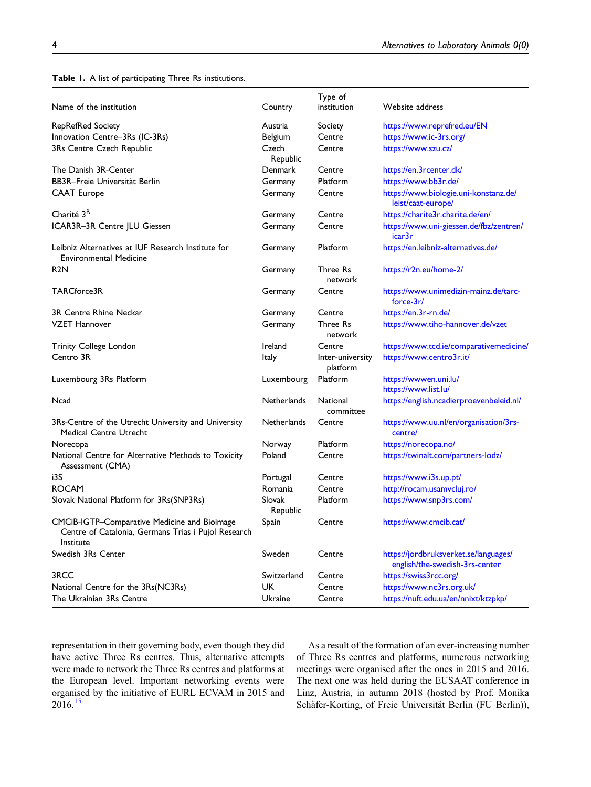<span id="page-3-0"></span>Table 1. A list of participating Three Rs institutions.

|                                                                                                                  |                    | Type of                      |                                                                         |
|------------------------------------------------------------------------------------------------------------------|--------------------|------------------------------|-------------------------------------------------------------------------|
| Name of the institution                                                                                          | Country            | institution                  | Website address                                                         |
| RepRefRed Society                                                                                                | Austria            | Society                      | https://www.reprefred.eu/EN                                             |
| Innovation Centre-3Rs (IC-3Rs)                                                                                   | Belgium            | Centre                       | https://www.ic-3rs.org/                                                 |
| 3Rs Centre Czech Republic                                                                                        | Czech<br>Republic  | Centre                       | https://www.szu.cz/                                                     |
| The Danish 3R-Center                                                                                             | Denmark            | Centre                       | https://en.3rcenter.dk/                                                 |
| BB3R–Freie Universität Berlin                                                                                    | Germany            | Platform                     | https://www.bb3r.de/                                                    |
| <b>CAAT Europe</b>                                                                                               | Germany            | Centre                       | https://www.biologie.uni-konstanz.de/<br>leist/caat-europe/             |
| Charité 3 <sup>R</sup>                                                                                           | Germany            | Centre                       | https://charite3r.charite.de/en/                                        |
| ICAR3R-3R Centre JLU Giessen                                                                                     | Germany            | Centre                       | https://www.uni-giessen.de/fbz/zentren/<br>icar3r                       |
| Leibniz Alternatives at IUF Research Institute for<br><b>Environmental Medicine</b>                              | Germany            | Platform                     | https://en.leibniz-alternatives.de/                                     |
| R2N                                                                                                              | Germany            | Three Rs<br>network          | https://r2n.eu/home-2/                                                  |
| TARCforce3R                                                                                                      | Germany            | Centre                       | https://www.unimedizin-mainz.de/tarc-<br>force-3r/                      |
| 3R Centre Rhine Neckar                                                                                           | Germany            | Centre                       | https://en.3r-rn.de/                                                    |
| <b>VZET Hannover</b>                                                                                             | Germany            | Three Rs<br>network          | https://www.tiho-hannover.de/vzet                                       |
| Trinity College London                                                                                           | Ireland            | Centre                       | https://www.tcd.ie/comparativemedicine/                                 |
| Centro 3R                                                                                                        | Italy              | Inter-university<br>platform | https://www.centro3r.it/                                                |
| Luxembourg 3Rs Platform                                                                                          | Luxembourg         | Platform                     | https://wwwen.uni.lu/<br>https://www.list.lu/                           |
| Ncad                                                                                                             | <b>Netherlands</b> | National<br>committee        | https://english.ncadierproevenbeleid.nl/                                |
| 3Rs-Centre of the Utrecht University and University<br><b>Medical Centre Utrecht</b>                             | <b>Netherlands</b> | Centre                       | https://www.uu.nl/en/organisation/3rs-<br>centre/                       |
| Norecopa                                                                                                         | Norway             | Platform                     | https://norecopa.no/                                                    |
| National Centre for Alternative Methods to Toxicity<br>Assessment (CMA)                                          | Poland             | Centre                       | https://twinalt.com/partners-lodz/                                      |
| i3S                                                                                                              | Portugal           | Centre                       | https://www.i3s.up.pt/                                                  |
| ROCAM                                                                                                            | Romania            | Centre                       | http://rocam.usamvcluj.ro/                                              |
| Slovak National Platform for 3Rs(SNP3Rs)                                                                         | Slovak<br>Republic | Platform                     | https://www.snp3rs.com/                                                 |
| CMCiB-IGTP-Comparative Medicine and Bioimage<br>Centre of Catalonia, Germans Trias i Pujol Research<br>Institute | Spain              | Centre                       | https://www.cmcib.cat/                                                  |
| Swedish 3Rs Center                                                                                               | Sweden             | Centre                       | https://jordbruksverket.se/languages/<br>english/the-swedish-3rs-center |
| 3RCC                                                                                                             | Switzerland        | Centre                       | https://swiss3rcc.org/                                                  |
| National Centre for the 3Rs(NC3Rs)                                                                               | <b>UK</b>          | Centre                       | https://www.nc3rs.org.uk/                                               |
| The Ukrainian 3Rs Centre                                                                                         | Ukraine            | Centre                       | https://nuft.edu.ua/en/nnixt/ktzpkp/                                    |

representation in their governing body, even though they did have active Three Rs centres. Thus, alternative attempts were made to network the Three Rs centres and platforms at the European level. Important networking events were organised by the initiative of EURL ECVAM in 2015 and  $2016.<sup>15</sup>$  $2016.<sup>15</sup>$  $2016.<sup>15</sup>$ 

As a result of the formation of an ever-increasing number of Three Rs centres and platforms, numerous networking meetings were organised after the ones in 2015 and 2016. The next one was held during the EUSAAT conference in Linz, Austria, in autumn 2018 (hosted by Prof. Monika Schäfer-Korting, of Freie Universität Berlin (FU Berlin)),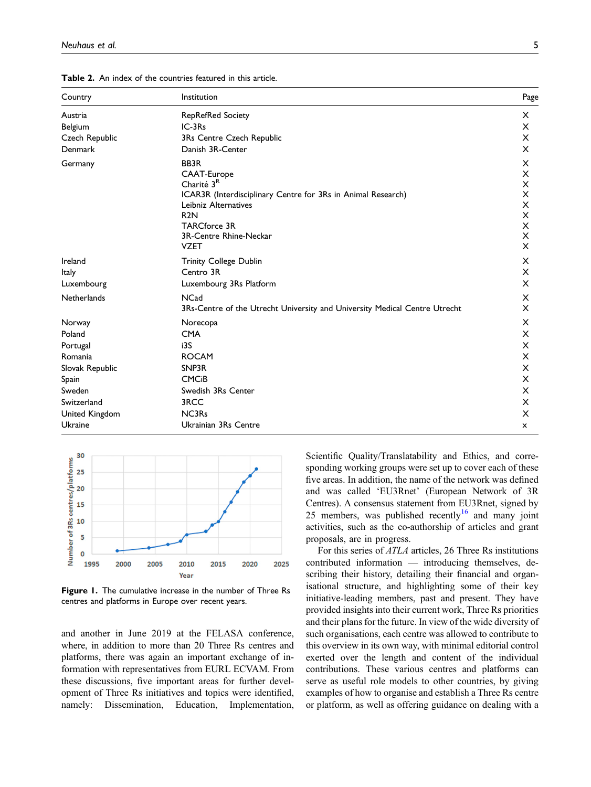| Country            | Institution                                                                | Page     |
|--------------------|----------------------------------------------------------------------------|----------|
| Austria            | <b>RepRefRed Society</b>                                                   | X        |
| Belgium            | $IC-3Rs$                                                                   | X        |
| Czech Republic     | 3Rs Centre Czech Republic                                                  | X        |
| <b>Denmark</b>     | Danish 3R-Center                                                           | X        |
| Germany            | BB3R                                                                       | X        |
|                    | CAAT-Europe                                                                | X        |
|                    | Charité 3 <sup>R</sup>                                                     | X        |
|                    | ICAR3R (Interdisciplinary Centre for 3Rs in Animal Research)               | X        |
|                    | Leibniz Alternatives                                                       | X        |
|                    | R <sub>2N</sub>                                                            | X        |
|                    | <b>TARCforce 3R</b><br>3R-Centre Rhine-Neckar                              | X<br>X   |
|                    | <b>VZET</b>                                                                | $\times$ |
|                    |                                                                            |          |
| Ireland            | <b>Trinity College Dublin</b>                                              | X        |
| Italy              | Centro 3R                                                                  | X        |
| Luxembourg         | Luxembourg 3Rs Platform                                                    | X        |
| <b>Netherlands</b> | <b>NCad</b>                                                                | х        |
|                    | 3Rs-Centre of the Utrecht University and University Medical Centre Utrecht | X        |
| Norway             | Norecopa                                                                   | X        |
| Poland             | <b>CMA</b>                                                                 | X        |
| Portugal           | i3S                                                                        | X        |
| Romania            | <b>ROCAM</b>                                                               | X        |
| Slovak Republic    | SNP3R                                                                      | X        |
| Spain              | <b>CMC<sub>i</sub>B</b>                                                    | X        |
| Sweden             | Swedish 3Rs Center                                                         | X        |
| Switzerland        | 3RCC                                                                       | X        |
| United Kingdom     | NC3R <sub>s</sub>                                                          | X        |
| Ukraine            | Ukrainian 3Rs Centre                                                       | x        |

<span id="page-4-0"></span>Table 2. An index of the countries featured in this article.



<span id="page-4-1"></span>Figure 1. The cumulative increase in the number of Three Rs centres and platforms in Europe over recent years.

and another in June 2019 at the FELASA conference, where, in addition to more than 20 Three Rs centres and platforms, there was again an important exchange of information with representatives from EURL ECVAM. From these discussions, five important areas for further development of Three Rs initiatives and topics were identified, namely: Dissemination, Education, Implementation, Scientific Quality/Translatability and Ethics, and corresponding working groups were set up to cover each of these five areas. In addition, the name of the network was defined and was called 'EU3Rnet' (European Network of 3R Centres). A consensus statement from EU3Rnet, signed by 25 members, was published recently<sup>[16](#page-27-4)</sup> and many joint activities, such as the co-authorship of articles and grant proposals, are in progress.

For this series of ATLA articles, 26 Three Rs institutions contributed information — introducing themselves, describing their history, detailing their financial and organisational structure, and highlighting some of their key initiative-leading members, past and present. They have provided insights into their current work, Three Rs priorities and their plans for the future. In view of the wide diversity of such organisations, each centre was allowed to contribute to this overview in its own way, with minimal editorial control exerted over the length and content of the individual contributions. These various centres and platforms can serve as useful role models to other countries, by giving examples of how to organise and establish a Three Rs centre or platform, as well as offering guidance on dealing with a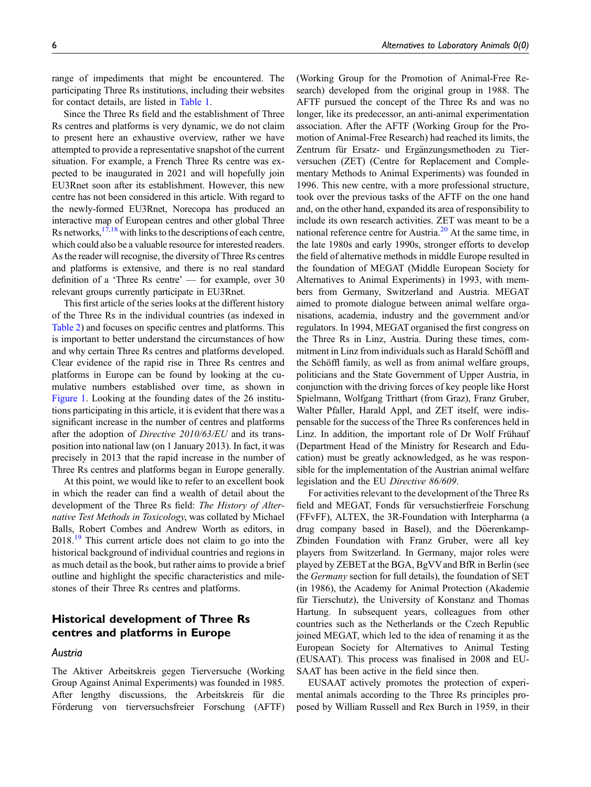range of impediments that might be encountered. The participating Three Rs institutions, including their websites for contact details, are listed in [Table 1](#page-3-0).

Since the Three Rs field and the establishment of Three Rs centres and platforms is very dynamic, we do not claim to present here an exhaustive overview, rather we have attempted to provide a representative snapshot of the current situation. For example, a French Three Rs centre was expected to be inaugurated in 2021 and will hopefully join EU3Rnet soon after its establishment. However, this new centre has not been considered in this article. With regard to the newly-formed EU3Rnet, Norecopa has produced an interactive map of European centres and other global Three Rs networks,  $17,18$  $17,18$  with links to the descriptions of each centre, which could also be a valuable resource for interested readers. As the reader will recognise, the diversity of Three Rs centres and platforms is extensive, and there is no real standard definition of a 'Three Rs centre' — for example, over 30 relevant groups currently participate in EU3Rnet.

This first article of the series looks at the different history of the Three Rs in the individual countries (as indexed in [Table 2](#page-4-0)) and focuses on specific centres and platforms. This is important to better understand the circumstances of how and why certain Three Rs centres and platforms developed. Clear evidence of the rapid rise in Three Rs centres and platforms in Europe can be found by looking at the cumulative numbers established over time, as shown in [Figure 1.](#page-4-1) Looking at the founding dates of the 26 institutions participating in this article, it is evident that there was a significant increase in the number of centres and platforms after the adoption of Directive 2010/63/EU and its transposition into national law (on 1 January 2013). In fact, it was precisely in 2013 that the rapid increase in the number of Three Rs centres and platforms began in Europe generally.

At this point, we would like to refer to an excellent book in which the reader can find a wealth of detail about the development of the Three Rs field: The History of Alternative Test Methods in Toxicology, was collated by Michael Balls, Robert Combes and Andrew Worth as editors, in 2018.[19](#page-27-7) This current article does not claim to go into the historical background of individual countries and regions in as much detail as the book, but rather aims to provide a brief outline and highlight the specific characteristics and milestones of their Three Rs centres and platforms.

# Historical development of Three Rs centres and platforms in Europe

#### Austria

The Aktiver Arbeitskreis gegen Tierversuche (Working Group Against Animal Experiments) was founded in 1985. After lengthy discussions, the Arbeitskreis für die Förderung von tierversuchsfreier Forschung (AFTF) (Working Group for the Promotion of Animal-Free Research) developed from the original group in 1988. The AFTF pursued the concept of the Three Rs and was no longer, like its predecessor, an anti-animal experimentation association. After the AFTF (Working Group for the Promotion of Animal-Free Research) had reached its limits, the Zentrum für Ersatz- und Ergänzungsmethoden zu Tierversuchen (ZET) (Centre for Replacement and Complementary Methods to Animal Experiments) was founded in 1996. This new centre, with a more professional structure, took over the previous tasks of the AFTF on the one hand and, on the other hand, expanded its area of responsibility to include its own research activities. ZET was meant to be a national reference centre for Austria. $2<sup>0</sup>$  At the same time, in the late 1980s and early 1990s, stronger efforts to develop the field of alternative methods in middle Europe resulted in the foundation of MEGAT (Middle European Society for Alternatives to Animal Experiments) in 1993, with members from Germany, Switzerland and Austria. MEGAT aimed to promote dialogue between animal welfare organisations, academia, industry and the government and/or regulators. In 1994, MEGAT organised the first congress on the Three Rs in Linz, Austria. During these times, commitment in Linz from individuals such as Harald Schöffl and the Schöffl family, as well as from animal welfare groups, politicians and the State Government of Upper Austria, in conjunction with the driving forces of key people like Horst Spielmann, Wolfgang Tritthart (from Graz), Franz Gruber, Walter Pfaller, Harald Appl, and ZET itself, were indispensable for the success of the Three Rs conferences held in Linz. In addition, the important role of Dr Wolf Frühauf (Department Head of the Ministry for Research and Education) must be greatly acknowledged, as he was responsible for the implementation of the Austrian animal welfare legislation and the EU Directive 86/609.

For activities relevant to the development of the Three Rs field and MEGAT, Fonds für versuchstierfreie Forschung (FFvFF), ALTEX, the 3R-Foundation with Interpharma (a drug company based in Basel), and the Döerenkamp-Zbinden Foundation with Franz Gruber, were all key players from Switzerland. In Germany, major roles were played by ZEBET at the BGA, BgVVand BfR in Berlin (see the Germany section for full details), the foundation of SET (in 1986), the Academy for Animal Protection (Akademie für Tierschutz), the University of Konstanz and Thomas Hartung. In subsequent years, colleagues from other countries such as the Netherlands or the Czech Republic joined MEGAT, which led to the idea of renaming it as the European Society for Alternatives to Animal Testing (EUSAAT). This process was finalised in 2008 and EU-SAAT has been active in the field since then.

EUSAAT actively promotes the protection of experimental animals according to the Three Rs principles proposed by William Russell and Rex Burch in 1959, in their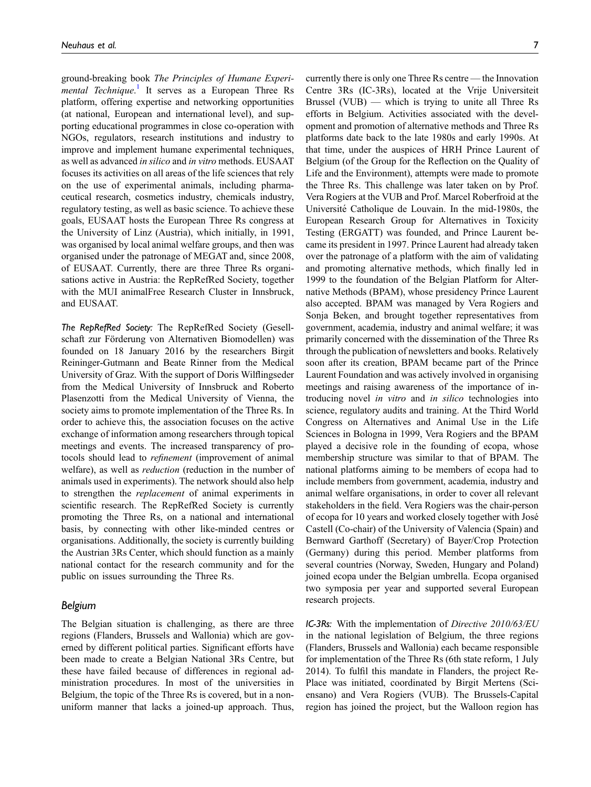ground-breaking book The Principles of Humane Experi-mental Technique.<sup>[1](#page-26-0)</sup> It serves as a European Three Rs platform, offering expertise and networking opportunities (at national, European and international level), and supporting educational programmes in close co-operation with NGOs, regulators, research institutions and industry to improve and implement humane experimental techniques, as well as advanced in silico and in vitro methods. EUSAAT focuses its activities on all areas of the life sciences that rely on the use of experimental animals, including pharmaceutical research, cosmetics industry, chemicals industry, regulatory testing, as well as basic science. To achieve these goals, EUSAAT hosts the European Three Rs congress at the University of Linz (Austria), which initially, in 1991, was organised by local animal welfare groups, and then was organised under the patronage of MEGAT and, since 2008, of EUSAAT. Currently, there are three Three Rs organisations active in Austria: the RepRefRed Society, together with the MUI animalFree Research Cluster in Innsbruck, and EUSAAT.

The RepRefRed Society: The RepRefRed Society (Gesellschaft zur Förderung von Alternativen Biomodellen) was founded on 18 January 2016 by the researchers Birgit Reininger-Gutmann and Beate Rinner from the Medical University of Graz. With the support of Doris Wilflingseder from the Medical University of Innsbruck and Roberto Plasenzotti from the Medical University of Vienna, the society aims to promote implementation of the Three Rs. In order to achieve this, the association focuses on the active exchange of information among researchers through topical meetings and events. The increased transparency of protocols should lead to refinement (improvement of animal welfare), as well as *reduction* (reduction in the number of animals used in experiments). The network should also help to strengthen the replacement of animal experiments in scientific research. The RepRefRed Society is currently promoting the Three Rs, on a national and international basis, by connecting with other like-minded centres or organisations. Additionally, the society is currently building the Austrian 3Rs Center, which should function as a mainly national contact for the research community and for the public on issues surrounding the Three Rs.

#### Belgium

The Belgian situation is challenging, as there are three regions (Flanders, Brussels and Wallonia) which are governed by different political parties. Significant efforts have been made to create a Belgian National 3Rs Centre, but these have failed because of differences in regional administration procedures. In most of the universities in Belgium, the topic of the Three Rs is covered, but in a nonuniform manner that lacks a joined-up approach. Thus, currently there is only one Three Rs centre — the Innovation Centre 3Rs (IC-3Rs), located at the Vrije Universiteit Brussel (VUB) — which is trying to unite all Three Rs efforts in Belgium. Activities associated with the development and promotion of alternative methods and Three Rs platforms date back to the late 1980s and early 1990s. At that time, under the auspices of HRH Prince Laurent of Belgium (of the Group for the Reflection on the Quality of Life and the Environment), attempts were made to promote the Three Rs. This challenge was later taken on by Prof. Vera Rogiers at the VUB and Prof. Marcel Roberfroid at the Université Catholique de Louvain. In the mid-1980s, the European Research Group for Alternatives in Toxicity Testing (ERGATT) was founded, and Prince Laurent became its president in 1997. Prince Laurent had already taken over the patronage of a platform with the aim of validating and promoting alternative methods, which finally led in 1999 to the foundation of the Belgian Platform for Alternative Methods (BPAM), whose presidency Prince Laurent also accepted. BPAM was managed by Vera Rogiers and Sonja Beken, and brought together representatives from government, academia, industry and animal welfare; it was primarily concerned with the dissemination of the Three Rs through the publication of newsletters and books. Relatively soon after its creation, BPAM became part of the Prince Laurent Foundation and was actively involved in organising meetings and raising awareness of the importance of introducing novel in vitro and in silico technologies into science, regulatory audits and training. At the Third World Congress on Alternatives and Animal Use in the Life Sciences in Bologna in 1999, Vera Rogiers and the BPAM played a decisive role in the founding of ecopa, whose membership structure was similar to that of BPAM. The national platforms aiming to be members of ecopa had to include members from government, academia, industry and animal welfare organisations, in order to cover all relevant stakeholders in the field. Vera Rogiers was the chair-person of ecopa for 10 years and worked closely together with Jose´ Castell (Co-chair) of the University of Valencia (Spain) and Bernward Garthoff (Secretary) of Bayer/Crop Protection (Germany) during this period. Member platforms from several countries (Norway, Sweden, Hungary and Poland) joined ecopa under the Belgian umbrella. Ecopa organised two symposia per year and supported several European research projects.

IC-3Rs: With the implementation of Directive 2010/63/EU in the national legislation of Belgium, the three regions (Flanders, Brussels and Wallonia) each became responsible for implementation of the Three Rs (6th state reform, 1 July 2014). To fulfil this mandate in Flanders, the project Re-Place was initiated, coordinated by Birgit Mertens (Sciensano) and Vera Rogiers (VUB). The Brussels-Capital region has joined the project, but the Walloon region has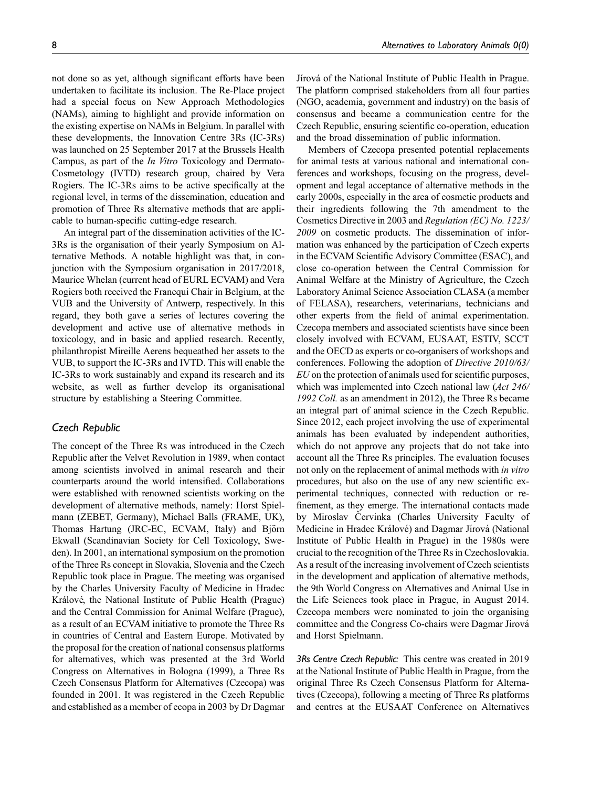not done so as yet, although significant efforts have been undertaken to facilitate its inclusion. The Re-Place project had a special focus on New Approach Methodologies (NAMs), aiming to highlight and provide information on the existing expertise on NAMs in Belgium. In parallel with these developments, the Innovation Centre 3Rs (IC-3Rs) was launched on 25 September 2017 at the Brussels Health Campus, as part of the In Vitro Toxicology and Dermato-Cosmetology (IVTD) research group, chaired by Vera Rogiers. The IC-3Rs aims to be active specifically at the regional level, in terms of the dissemination, education and promotion of Three Rs alternative methods that are appli-

An integral part of the dissemination activities of the IC-3Rs is the organisation of their yearly Symposium on Alternative Methods. A notable highlight was that, in conjunction with the Symposium organisation in 2017/2018, Maurice Whelan (current head of EURL ECVAM) and Vera Rogiers both received the Francqui Chair in Belgium, at the VUB and the University of Antwerp, respectively. In this regard, they both gave a series of lectures covering the development and active use of alternative methods in toxicology, and in basic and applied research. Recently, philanthropist Mireille Aerens bequeathed her assets to the VUB, to support the IC-3Rs and IVTD. This will enable the IC-3Rs to work sustainably and expand its research and its website, as well as further develop its organisational structure by establishing a Steering Committee.

cable to human-specific cutting-edge research.

# Czech Republic

The concept of the Three Rs was introduced in the Czech Republic after the Velvet Revolution in 1989, when contact among scientists involved in animal research and their counterparts around the world intensified. Collaborations were established with renowned scientists working on the development of alternative methods, namely: Horst Spielmann (ZEBET, Germany), Michael Balls (FRAME, UK), Thomas Hartung (JRC-EC, ECVAM, Italy) and Björn Ekwall (Scandinavian Society for Cell Toxicology, Sweden). In 2001, an international symposium on the promotion of the Three Rs concept in Slovakia, Slovenia and the Czech Republic took place in Prague. The meeting was organised by the Charles University Faculty of Medicine in Hradec Králové, the National Institute of Public Health (Prague) and the Central Commission for Animal Welfare (Prague), as a result of an ECVAM initiative to promote the Three Rs in countries of Central and Eastern Europe. Motivated by the proposal for the creation of national consensus platforms for alternatives, which was presented at the 3rd World Congress on Alternatives in Bologna (1999), a Three Rs Czech Consensus Platform for Alternatives (Czecopa) was founded in 2001. It was registered in the Czech Republic and established as a member of ecopa in 2003 by Dr Dagmar

Jírová of the National Institute of Public Health in Prague. The platform comprised stakeholders from all four parties (NGO, academia, government and industry) on the basis of consensus and became a communication centre for the Czech Republic, ensuring scientific co-operation, education and the broad dissemination of public information.

Members of Czecopa presented potential replacements for animal tests at various national and international conferences and workshops, focusing on the progress, development and legal acceptance of alternative methods in the early 2000s, especially in the area of cosmetic products and their ingredients following the 7th amendment to the Cosmetics Directive in 2003 and Regulation (EC) No. 1223/ 2009 on cosmetic products. The dissemination of information was enhanced by the participation of Czech experts in the ECVAM Scientific Advisory Committee (ESAC), and close co-operation between the Central Commission for Animal Welfare at the Ministry of Agriculture, the Czech Laboratory Animal Science Association CLASA (a member of FELASA), researchers, veterinarians, technicians and other experts from the field of animal experimentation. Czecopa members and associated scientists have since been closely involved with ECVAM, EUSAAT, ESTIV, SCCT and the OECD as experts or co-organisers of workshops and conferences. Following the adoption of Directive 2010/63/ EU on the protection of animals used for scientific purposes, which was implemented into Czech national law (Act 246/ 1992 Coll. as an amendment in 2012), the Three Rs became an integral part of animal science in the Czech Republic. Since 2012, each project involving the use of experimental animals has been evaluated by independent authorities, which do not approve any projects that do not take into account all the Three Rs principles. The evaluation focuses not only on the replacement of animal methods with in vitro procedures, but also on the use of any new scientific experimental techniques, connected with reduction or refinement, as they emerge. The international contacts made by Miroslav Červinka (Charles University Faculty of Medicine in Hradec Králové) and Dagmar Jírová (National Institute of Public Health in Prague) in the 1980s were crucial to the recognition of the Three Rs in Czechoslovakia. As a result of the increasing involvement of Czech scientists in the development and application of alternative methods, the 9th World Congress on Alternatives and Animal Use in the Life Sciences took place in Prague, in August 2014. Czecopa members were nominated to join the organising committee and the Congress Co-chairs were Dagmar Jirová and Horst Spielmann.

3Rs Centre Czech Republic: This centre was created in 2019 at the National Institute of Public Health in Prague, from the original Three Rs Czech Consensus Platform for Alternatives (Czecopa), following a meeting of Three Rs platforms and centres at the EUSAAT Conference on Alternatives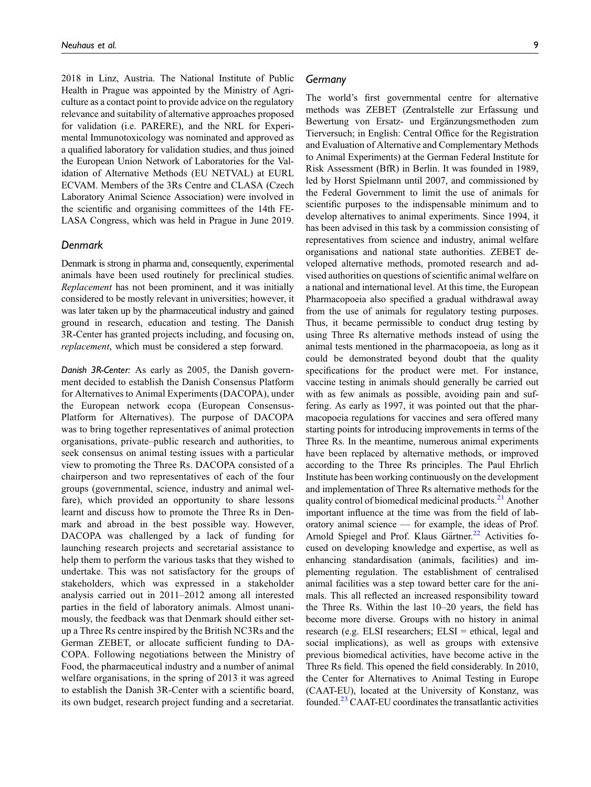2018 in Linz, Austria. The National Institute of Public Health in Prague was appointed by the Ministry of Agriculture as a contact point to provide advice on the regulatory relevance and suitability of alternative approaches proposed for validation (i.e. PARERE), and the NRL for Experimental Immunotoxicology was nominated and approved as a qualified laboratory for validation studies, and thus joined the European Union Network of Laboratories for the Validation of Alternative Methods (EU NETVAL) at EURL ECVAM. Members of the 3Rs Centre and CLASA (Czech Laboratory Animal Science Association) were involved in the scientific and organising committees of the 14th FE-LASA Congress, which was held in Prague in June 2019.

#### **Denmark**

Denmark is strong in pharma and, consequently, experimental animals have been used routinely for preclinical studies. Replacement has not been prominent, and it was initially considered to be mostly relevant in universities; however, it was later taken up by the pharmaceutical industry and gained ground in research, education and testing. The Danish 3R-Center has granted projects including, and focusing on, replacement, which must be considered a step forward.

Danish 3R-Center: As early as 2005, the Danish government decided to establish the Danish Consensus Platform for Alternatives to Animal Experiments (DACOPA), under the European network ecopa (European Consensus-Platform for Alternatives). The purpose of DACOPA was to bring together representatives of animal protection organisations, private–public research and authorities, to seek consensus on animal testing issues with a particular view to promoting the Three Rs. DACOPA consisted of a chairperson and two representatives of each of the four groups (governmental, science, industry and animal welfare), which provided an opportunity to share lessons learnt and discuss how to promote the Three Rs in Denmark and abroad in the best possible way. However, DACOPA was challenged by a lack of funding for launching research projects and secretarial assistance to help them to perform the various tasks that they wished to undertake. This was not satisfactory for the groups of stakeholders, which was expressed in a stakeholder analysis carried out in 2011–2012 among all interested parties in the field of laboratory animals. Almost unanimously, the feedback was that Denmark should either setup a Three Rs centre inspired by the British NC3Rs and the German ZEBET, or allocate sufficient funding to DA-COPA. Following negotiations between the Ministry of Food, the pharmaceutical industry and a number of animal welfare organisations, in the spring of 2013 it was agreed to establish the Danish 3R-Center with a scientific board, its own budget, research project funding and a secretariat. The world's first governmental centre for alternative methods was ZEBET (Zentralstelle zur Erfassung und Bewertung von Ersatz- und Ergänzungsmethoden zum Tierversuch; in English: Central Office for the Registration and Evaluation of Alternative and Complementary Methods to Animal Experiments) at the German Federal Institute for Risk Assessment (BfR) in Berlin. It was founded in 1989, led by Horst Spielmann until 2007, and commissioned by the Federal Government to limit the use of animals for scientific purposes to the indispensable minimum and to develop alternatives to animal experiments. Since 1994, it has been advised in this task by a commission consisting of representatives from science and industry, animal welfare organisations and national state authorities. ZEBET developed alternative methods, promoted research and advised authorities on questions of scientific animal welfare on a national and international level. At this time, the European Pharmacopoeia also specified a gradual withdrawal away from the use of animals for regulatory testing purposes. Thus, it became permissible to conduct drug testing by using Three Rs alternative methods instead of using the animal tests mentioned in the pharmacopoeia, as long as it could be demonstrated beyond doubt that the quality specifications for the product were met. For instance, vaccine testing in animals should generally be carried out with as few animals as possible, avoiding pain and suffering. As early as 1997, it was pointed out that the pharmacopoeia regulations for vaccines and sera offered many starting points for introducing improvements in terms of the Three Rs. In the meantime, numerous animal experiments have been replaced by alternative methods, or improved according to the Three Rs principles. The Paul Ehrlich Institute has been working continuously on the development and implementation of Three Rs alternative methods for the quality control of biomedical medicinal products.<sup>[21](#page-27-9)</sup> Another important influence at the time was from the field of laboratory animal science — for example, the ideas of Prof. Arnold Spiegel and Prof. Klaus Gärtner.<sup>[22](#page-27-10)</sup> Activities focused on developing knowledge and expertise, as well as enhancing standardisation (animals, facilities) and implementing regulation. The establishment of centralised animal facilities was a step toward better care for the animals. This all reflected an increased responsibility toward the Three Rs. Within the last 10–20 years, the field has become more diverse. Groups with no history in animal research (e.g. ELSI researchers; ELSI = ethical, legal and social implications), as well as groups with extensive previous biomedical activities, have become active in the Three Rs field. This opened the field considerably. In 2010, the Center for Alternatives to Animal Testing in Europe (CAAT-EU), located at the University of Konstanz, was founded.[23](#page-27-11) CAAT-EU coordinates the transatlantic activities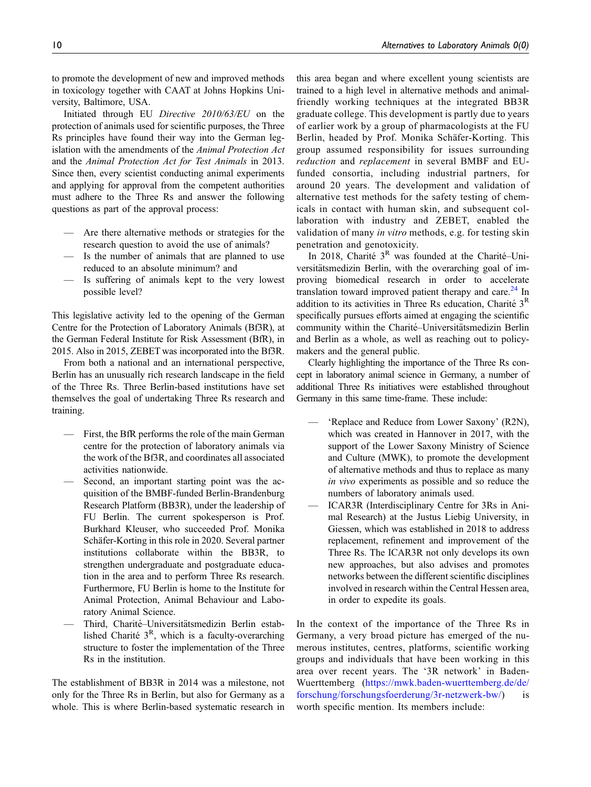to promote the development of new and improved methods in toxicology together with CAAT at Johns Hopkins University, Baltimore, USA.

Initiated through EU Directive 2010/63/EU on the protection of animals used for scientific purposes, the Three Rs principles have found their way into the German legislation with the amendments of the Animal Protection Act and the Animal Protection Act for Test Animals in 2013. Since then, every scientist conducting animal experiments and applying for approval from the competent authorities must adhere to the Three Rs and answer the following questions as part of the approval process:

- Are there alternative methods or strategies for the research question to avoid the use of animals?
- Is the number of animals that are planned to use reduced to an absolute minimum? and
- Is suffering of animals kept to the very lowest possible level?

This legislative activity led to the opening of the German Centre for the Protection of Laboratory Animals (Bf3R), at the German Federal Institute for Risk Assessment (BfR), in 2015. Also in 2015, ZEBET was incorporated into the Bf3R.

From both a national and an international perspective, Berlin has an unusually rich research landscape in the field of the Three Rs. Three Berlin-based institutions have set themselves the goal of undertaking Three Rs research and training.

- First, the BfR performs the role of the main German centre for the protection of laboratory animals via the work of the Bf3R, and coordinates all associated activities nationwide.
- Second, an important starting point was the acquisition of the BMBF-funded Berlin-Brandenburg Research Platform (BB3R), under the leadership of FU Berlin. The current spokesperson is Prof. Burkhard Kleuser, who succeeded Prof. Monika Schäfer-Korting in this role in 2020. Several partner institutions collaborate within the BB3R, to strengthen undergraduate and postgraduate education in the area and to perform Three Rs research. Furthermore, FU Berlin is home to the Institute for Animal Protection, Animal Behaviour and Laboratory Animal Science.
- Third, Charité-Universitätsmedizin Berlin established Charité  $3<sup>R</sup>$ , which is a faculty-overarching structure to foster the implementation of the Three Rs in the institution.

The establishment of BB3R in 2014 was a milestone, not only for the Three Rs in Berlin, but also for Germany as a whole. This is where Berlin-based systematic research in

this area began and where excellent young scientists are trained to a high level in alternative methods and animalfriendly working techniques at the integrated BB3R graduate college. This development is partly due to years of earlier work by a group of pharmacologists at the FU Berlin, headed by Prof. Monika Schäfer-Korting. This group assumed responsibility for issues surrounding reduction and replacement in several BMBF and EUfunded consortia, including industrial partners, for around 20 years. The development and validation of alternative test methods for the safety testing of chemicals in contact with human skin, and subsequent collaboration with industry and ZEBET, enabled the validation of many in vitro methods, e.g. for testing skin penetration and genotoxicity.

In 2018, Charité  $3<sup>R</sup>$  was founded at the Charité–Universitätsmedizin Berlin, with the overarching goal of improving biomedical research in order to accelerate translation toward improved patient therapy and care. $^{24}$  $^{24}$  $^{24}$  In addition to its activities in Three Rs education, Charité  $3<sup>R</sup>$ specifically pursues efforts aimed at engaging the scientific community within the Charité–Universitätsmedizin Berlin and Berlin as a whole, as well as reaching out to policymakers and the general public.

Clearly highlighting the importance of the Three Rs concept in laboratory animal science in Germany, a number of additional Three Rs initiatives were established throughout Germany in this same time-frame. These include:

- 'Replace and Reduce from Lower Saxony' (R2N), which was created in Hannover in 2017, with the support of the Lower Saxony Ministry of Science and Culture (MWK), to promote the development of alternative methods and thus to replace as many in vivo experiments as possible and so reduce the numbers of laboratory animals used.
- ICAR3R (Interdisciplinary Centre for 3Rs in Animal Research) at the Justus Liebig University, in Giessen, which was established in 2018 to address replacement, refinement and improvement of the Three Rs. The ICAR3R not only develops its own new approaches, but also advises and promotes networks between the different scientific disciplines involved in research within the Central Hessen area, in order to expedite its goals.

In the context of the importance of the Three Rs in Germany, a very broad picture has emerged of the numerous institutes, centres, platforms, scientific working groups and individuals that have been working in this area over recent years. The '3R network' in Baden-Wuerttemberg [\(https://mwk.baden-wuerttemberg.de/de/](https://mwk.baden-wuerttemberg.de/de/forschung/forschungsfoerderung/3r-netzwerk-bw/) [forschung/forschungsfoerderung/3r-netzwerk-bw/\)](https://mwk.baden-wuerttemberg.de/de/forschung/forschungsfoerderung/3r-netzwerk-bw/) is worth specific mention. Its members include: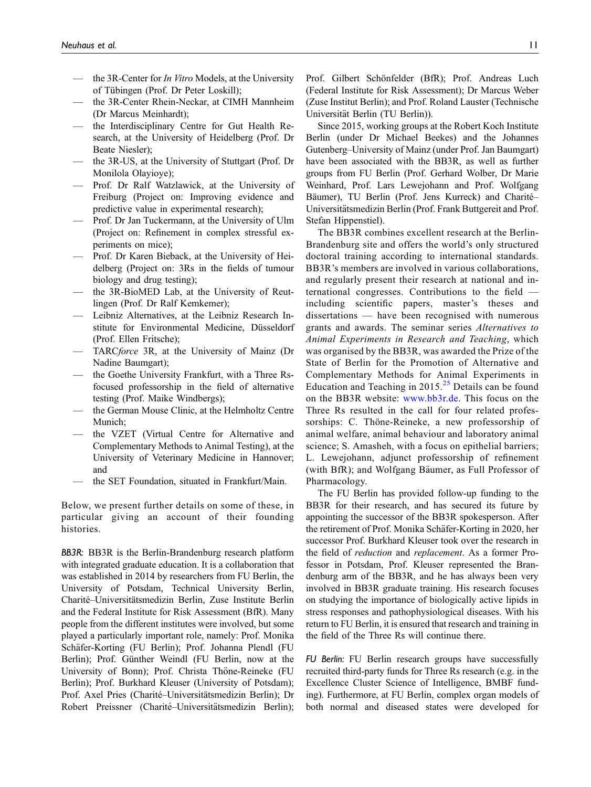- the 3R-Center for *In Vitro* Models, at the University of Tübingen (Prof. Dr Peter Loskill);
- the 3R-Center Rhein-Neckar, at CIMH Mannheim (Dr Marcus Meinhardt);
- the Interdisciplinary Centre for Gut Health Research, at the University of Heidelberg (Prof. Dr Beate Niesler);
- the 3R-US, at the University of Stuttgart (Prof. Dr Monilola Olayioye);
- Prof. Dr Ralf Watzlawick, at the University of Freiburg (Project on: Improving evidence and predictive value in experimental research);
- Prof. Dr Jan Tuckermann, at the University of Ulm (Project on: Refinement in complex stressful experiments on mice);
- Prof. Dr Karen Bieback, at the University of Heidelberg (Project on: 3Rs in the fields of tumour biology and drug testing);
- the 3R-BioMED Lab, at the University of Reutlingen (Prof. Dr Ralf Kemkemer);
- Leibniz Alternatives, at the Leibniz Research Institute for Environmental Medicine, Düsseldorf (Prof. Ellen Fritsche);
- TARCforce 3R, at the University of Mainz (Dr Nadine Baumgart);
- the Goethe University Frankfurt, with a Three Rsfocused professorship in the field of alternative testing (Prof. Maike Windbergs);
- the German Mouse Clinic, at the Helmholtz Centre Munich;
- the VZET (Virtual Centre for Alternative and Complementary Methods to Animal Testing), at the University of Veterinary Medicine in Hannover; and
- the SET Foundation, situated in Frankfurt/Main.

Below, we present further details on some of these, in particular giving an account of their founding histories.

BB3R: BB3R is the Berlin-Brandenburg research platform with integrated graduate education. It is a collaboration that was established in 2014 by researchers from FU Berlin, the University of Potsdam, Technical University Berlin, Charité–Universitätsmedizin Berlin, Zuse Institute Berlin and the Federal Institute for Risk Assessment (BfR). Many people from the different institutes were involved, but some played a particularly important role, namely: Prof. Monika Schäfer-Korting (FU Berlin); Prof. Johanna Plendl (FU Berlin); Prof. Günther Weindl (FU Berlin, now at the University of Bonn); Prof. Christa Thöne-Reineke (FU Berlin); Prof. Burkhard Kleuser (University of Potsdam); Prof. Axel Pries (Charité–Universitätsmedizin Berlin); Dr Robert Preissner (Charité-Universitätsmedizin Berlin); Prof. Gilbert Schönfelder (BfR); Prof. Andreas Luch (Federal Institute for Risk Assessment); Dr Marcus Weber (Zuse Institut Berlin); and Prof. Roland Lauster (Technische Universität Berlin (TU Berlin)).

Since 2015, working groups at the Robert Koch Institute Berlin (under Dr Michael Beekes) and the Johannes Gutenberg–University of Mainz (under Prof. Jan Baumgart) have been associated with the BB3R, as well as further groups from FU Berlin (Prof. Gerhard Wolber, Dr Marie Weinhard, Prof. Lars Lewejohann and Prof. Wolfgang Bäumer), TU Berlin (Prof. Jens Kurreck) and Charité-Universitätsmedizin Berlin (Prof. Frank Buttgereit and Prof. Stefan Hippenstiel).

The BB3R combines excellent research at the Berlin-Brandenburg site and offers the world's only structured doctoral training according to international standards. BB3R's members are involved in various collaborations, and regularly present their research at national and international congresses. Contributions to the field including scientific papers, master's theses and dissertations — have been recognised with numerous grants and awards. The seminar series Alternatives to Animal Experiments in Research and Teaching, which was organised by the BB3R, was awarded the Prize of the State of Berlin for the Promotion of Alternative and Complementary Methods for Animal Experiments in Education and Teaching in  $2015.<sup>25</sup>$  $2015.<sup>25</sup>$  $2015.<sup>25</sup>$  Details can be found on the BB3R website: [www.bb3r.de](http://www.bb3r.de/). This focus on the Three Rs resulted in the call for four related professorships: C. Thöne-Reineke, a new professorship of animal welfare, animal behaviour and laboratory animal science; S. Amasheh, with a focus on epithelial barriers; L. Lewejohann, adjunct professorship of refinement (with BfR); and Wolfgang Bäumer, as Full Professor of Pharmacology.

The FU Berlin has provided follow-up funding to the BB3R for their research, and has secured its future by appointing the successor of the BB3R spokesperson. After the retirement of Prof. Monika Schäfer-Korting in 2020, her successor Prof. Burkhard Kleuser took over the research in the field of reduction and replacement. As a former Professor in Potsdam, Prof. Kleuser represented the Brandenburg arm of the BB3R, and he has always been very involved in BB3R graduate training. His research focuses on studying the importance of biologically active lipids in stress responses and pathophysiological diseases. With his return to FU Berlin, it is ensured that research and training in the field of the Three Rs will continue there.

FU Berlin: FU Berlin research groups have successfully recruited third-party funds for Three Rs research (e.g. in the Excellence Cluster Science of Intelligence, BMBF funding). Furthermore, at FU Berlin, complex organ models of both normal and diseased states were developed for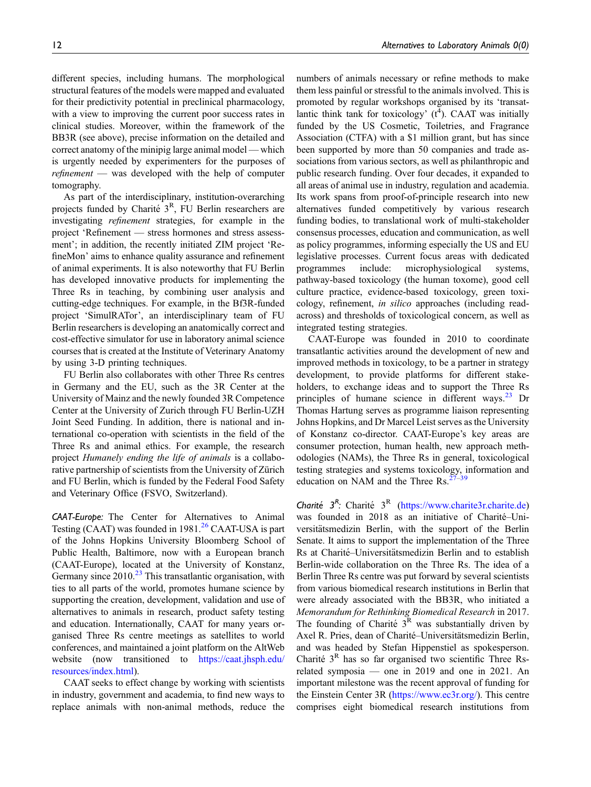different species, including humans. The morphological structural features of the models were mapped and evaluated for their predictivity potential in preclinical pharmacology, with a view to improving the current poor success rates in clinical studies. Moreover, within the framework of the BB3R (see above), precise information on the detailed and correct anatomy of the minipig large animal model — which is urgently needed by experimenters for the purposes of refinement — was developed with the help of computer tomography.

As part of the interdisciplinary, institution-overarching projects funded by Charité  $3<sup>R</sup>$ . FU Berlin researchers are investigating refinement strategies, for example in the project 'Refinement — stress hormones and stress assessment'; in addition, the recently initiated ZIM project 'RefineMon' aims to enhance quality assurance and refinement of animal experiments. It is also noteworthy that FU Berlin has developed innovative products for implementing the Three Rs in teaching, by combining user analysis and cutting-edge techniques. For example, in the Bf3R-funded project 'SimulRATor', an interdisciplinary team of FU Berlin researchers is developing an anatomically correct and cost-effective simulator for use in laboratory animal science courses that is created at the Institute of Veterinary Anatomy by using 3-D printing techniques.

FU Berlin also collaborates with other Three Rs centres in Germany and the EU, such as the 3R Center at the University of Mainz and the newly founded 3R Competence Center at the University of Zurich through FU Berlin-UZH Joint Seed Funding. In addition, there is national and international co-operation with scientists in the field of the Three Rs and animal ethics. For example, the research project Humanely ending the life of animals is a collaborative partnership of scientists from the University of Zürich and FU Berlin, which is funded by the Federal Food Safety and Veterinary Office (FSVO, Switzerland).

CAAT-Europe: The Center for Alternatives to Animal Testing (CAAT) was founded in  $1981<sup>26</sup>$  $1981<sup>26</sup>$  $1981<sup>26</sup>$  CAAT-USA is part of the Johns Hopkins University Bloomberg School of Public Health, Baltimore, now with a European branch (CAAT-Europe), located at the University of Konstanz, Germany since  $2010<sup>23</sup>$  $2010<sup>23</sup>$  $2010<sup>23</sup>$  This transatlantic organisation, with ties to all parts of the world, promotes humane science by supporting the creation, development, validation and use of alternatives to animals in research, product safety testing and education. Internationally, CAAT for many years organised Three Rs centre meetings as satellites to world conferences, and maintained a joint platform on the AltWeb website (now transitioned to [https://caat.jhsph.edu/](https://caat.jhsph.edu/resources/index.html) [resources/index.html\)](https://caat.jhsph.edu/resources/index.html).

CAAT seeks to effect change by working with scientists in industry, government and academia, to find new ways to replace animals with non-animal methods, reduce the

numbers of animals necessary or refine methods to make them less painful or stressful to the animals involved. This is promoted by regular workshops organised by its 'transatlantic think tank for toxicology'  $(t^4)$ . CAAT was initially funded by the US Cosmetic, Toiletries, and Fragrance Association (CTFA) with a \$1 million grant, but has since been supported by more than 50 companies and trade associations from various sectors, as well as philanthropic and public research funding. Over four decades, it expanded to all areas of animal use in industry, regulation and academia. Its work spans from proof-of-principle research into new alternatives funded competitively by various research funding bodies, to translational work of multi-stakeholder consensus processes, education and communication, as well as policy programmes, informing especially the US and EU legislative processes. Current focus areas with dedicated programmes include: microphysiological systems, pathway-based toxicology (the human toxome), good cell culture practice, evidence-based toxicology, green toxicology, refinement, in silico approaches (including readacross) and thresholds of toxicological concern, as well as integrated testing strategies.

CAAT-Europe was founded in 2010 to coordinate transatlantic activities around the development of new and improved methods in toxicology, to be a partner in strategy development, to provide platforms for different stakeholders, to exchange ideas and to support the Three Rs principles of humane science in different ways. $^{23}$  $^{23}$  $^{23}$  Dr Thomas Hartung serves as programme liaison representing Johns Hopkins, and Dr Marcel Leist serves as the University of Konstanz co-director. CAAT-Europe's key areas are consumer protection, human health, new approach methodologies (NAMs), the Three Rs in general, toxicological testing strategies and systems toxicology, information and education on NAM and the Three Rs. $^{27}$  $^{27}$  $^{27}$ 

Charité  $3^R$ : Charité  $3^R$  [\(https://www.charite3r.charite.de](https://www.charite3r.charite.de)) was founded in 2018 as an initiative of Charité-Universitätsmedizin Berlin, with the support of the Berlin Senate. It aims to support the implementation of the Three Rs at Charité–Universitätsmedizin Berlin and to establish Berlin-wide collaboration on the Three Rs. The idea of a Berlin Three Rs centre was put forward by several scientists from various biomedical research institutions in Berlin that were already associated with the BB3R, who initiated a Memorandum for Rethinking Biomedical Research in 2017. The founding of Charité  $3^R$  was substantially driven by Axel R. Pries, dean of Charité–Universitätsmedizin Berlin, and was headed by Stefan Hippenstiel as spokesperson. Charité  $3<sup>R</sup>$  has so far organised two scientific Three Rsrelated symposia — one in 2019 and one in 2021. An important milestone was the recent approval of funding for the Einstein Center 3R [\(https://www.ec3r.org/\)](https://www.ec3r.org/). This centre comprises eight biomedical research institutions from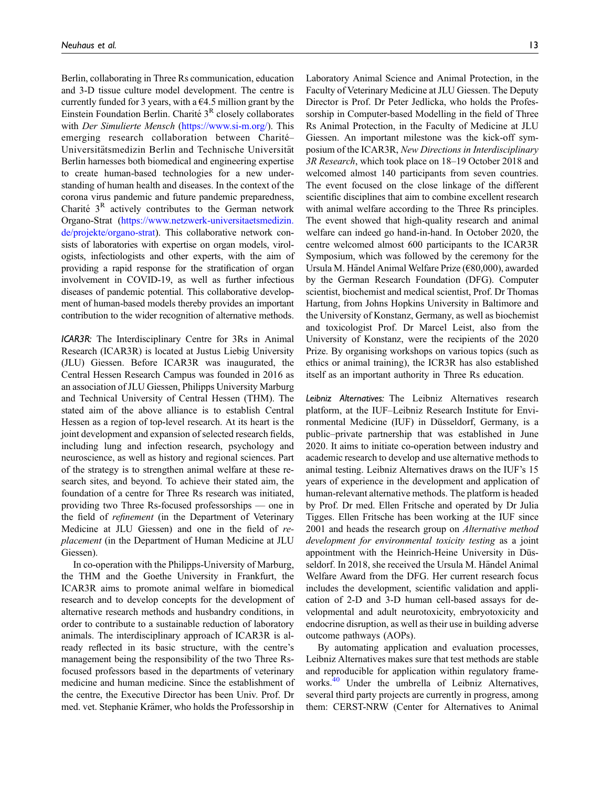Berlin, collaborating in Three Rs communication, education and 3-D tissue culture model development. The centre is currently funded for 3 years, with a  $64.5$  million grant by the Einstein Foundation Berlin. Charité  $3<sup>R</sup>$  closely collaborates with *Der Simulierte Mensch* [\(https://www.si-m.org/\)](https://www.si-m.org/). This emerging research collaboration between Charité-Universitätsmedizin Berlin and Technische Universität Berlin harnesses both biomedical and engineering expertise to create human-based technologies for a new understanding of human health and diseases. In the context of the corona virus pandemic and future pandemic preparedness, Charité  $3^R$  actively contributes to the German network Organo-Strat [\(https://www.netzwerk-universitaetsmedizin.](https://www.netzwerk-universitaetsmedizin.de/projekte/organo-strat) [de/projekte/organo-strat](https://www.netzwerk-universitaetsmedizin.de/projekte/organo-strat)). This collaborative network consists of laboratories with expertise on organ models, virologists, infectiologists and other experts, with the aim of providing a rapid response for the stratification of organ involvement in COVID-19, as well as further infectious diseases of pandemic potential. This collaborative development of human-based models thereby provides an important contribution to the wider recognition of alternative methods.

ICAR3R: The Interdisciplinary Centre for 3Rs in Animal Research (ICAR3R) is located at Justus Liebig University (JLU) Giessen. Before ICAR3R was inaugurated, the Central Hessen Research Campus was founded in 2016 as an association of JLU Giessen, Philipps University Marburg and Technical University of Central Hessen (THM). The stated aim of the above alliance is to establish Central Hessen as a region of top-level research. At its heart is the joint development and expansion of selected research fields, including lung and infection research, psychology and neuroscience, as well as history and regional sciences. Part of the strategy is to strengthen animal welfare at these research sites, and beyond. To achieve their stated aim, the foundation of a centre for Three Rs research was initiated, providing two Three Rs-focused professorships — one in the field of *refinement* (in the Department of Veterinary Medicine at JLU Giessen) and one in the field of replacement (in the Department of Human Medicine at JLU Giessen).

In co-operation with the Philipps-University of Marburg, the THM and the Goethe University in Frankfurt, the ICAR3R aims to promote animal welfare in biomedical research and to develop concepts for the development of alternative research methods and husbandry conditions, in order to contribute to a sustainable reduction of laboratory animals. The interdisciplinary approach of ICAR3R is already reflected in its basic structure, with the centre's management being the responsibility of the two Three Rsfocused professors based in the departments of veterinary medicine and human medicine. Since the establishment of the centre, the Executive Director has been Univ. Prof. Dr med. vet. Stephanie Krämer, who holds the Professorship in Laboratory Animal Science and Animal Protection, in the Faculty of Veterinary Medicine at JLU Giessen. The Deputy Director is Prof. Dr Peter Jedlicka, who holds the Professorship in Computer-based Modelling in the field of Three Rs Animal Protection, in the Faculty of Medicine at JLU Giessen. An important milestone was the kick-off symposium of the ICAR3R, New Directions in Interdisciplinary 3R Research, which took place on 18–19 October 2018 and welcomed almost 140 participants from seven countries. The event focused on the close linkage of the different scientific disciplines that aim to combine excellent research with animal welfare according to the Three Rs principles. The event showed that high-quality research and animal welfare can indeed go hand-in-hand. In October 2020, the centre welcomed almost 600 participants to the ICAR3R Symposium, which was followed by the ceremony for the Ursula M. Händel Animal Welfare Prize (€80,000), awarded by the German Research Foundation (DFG). Computer scientist, biochemist and medical scientist, Prof. Dr Thomas Hartung, from Johns Hopkins University in Baltimore and the University of Konstanz, Germany, as well as biochemist and toxicologist Prof. Dr Marcel Leist, also from the University of Konstanz, were the recipients of the 2020 Prize. By organising workshops on various topics (such as ethics or animal training), the ICR3R has also established itself as an important authority in Three Rs education.

Leibniz Alternatives: The Leibniz Alternatives research platform, at the IUF–Leibniz Research Institute for Environmental Medicine (IUF) in Düsseldorf, Germany, is a public–private partnership that was established in June 2020. It aims to initiate co-operation between industry and academic research to develop and use alternative methods to animal testing. Leibniz Alternatives draws on the IUF's 15 years of experience in the development and application of human-relevant alternative methods. The platform is headed by Prof. Dr med. Ellen Fritsche and operated by Dr Julia Tigges. Ellen Fritsche has been working at the IUF since 2001 and heads the research group on Alternative method development for environmental toxicity testing as a joint appointment with the Heinrich-Heine University in Düsseldorf. In 2018, she received the Ursula M. Händel Animal Welfare Award from the DFG. Her current research focus includes the development, scientific validation and application of 2-D and 3-D human cell-based assays for developmental and adult neurotoxicity, embryotoxicity and endocrine disruption, as well as their use in building adverse outcome pathways (AOPs).

By automating application and evaluation processes, Leibniz Alternatives makes sure that test methods are stable and reproducible for application within regulatory frame-works.<sup>[40](#page-27-17)</sup> Under the umbrella of Leibniz Alternatives, several third party projects are currently in progress, among them: CERST-NRW (Center for Alternatives to Animal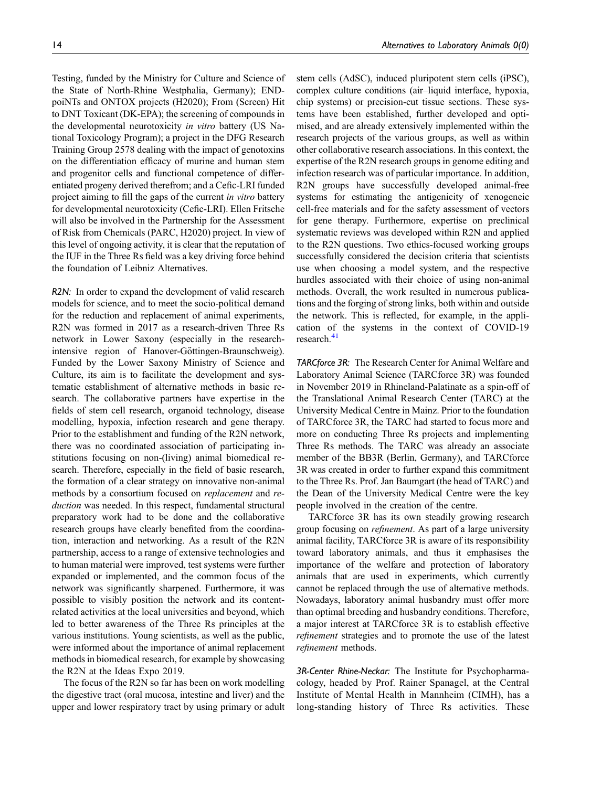Testing, funded by the Ministry for Culture and Science of the State of North-Rhine Westphalia, Germany); ENDpoiNTs and ONTOX projects (H2020); From (Screen) Hit to DNT Toxicant (DK-EPA); the screening of compounds in the developmental neurotoxicity in vitro battery (US National Toxicology Program); a project in the DFG Research Training Group 2578 dealing with the impact of genotoxins on the differentiation efficacy of murine and human stem and progenitor cells and functional competence of differentiated progeny derived therefrom; and a Cefic-LRI funded project aiming to fill the gaps of the current in vitro battery for developmental neurotoxicity (Cefic-LRI). Ellen Fritsche will also be involved in the Partnership for the Assessment of Risk from Chemicals (PARC, H2020) project. In view of this level of ongoing activity, it is clear that the reputation of the IUF in the Three Rs field was a key driving force behind the foundation of Leibniz Alternatives.

R2N: In order to expand the development of valid research models for science, and to meet the socio-political demand for the reduction and replacement of animal experiments, R2N was formed in 2017 as a research-driven Three Rs network in Lower Saxony (especially in the researchintensive region of Hanover-Göttingen-Braunschweig). Funded by the Lower Saxony Ministry of Science and Culture, its aim is to facilitate the development and systematic establishment of alternative methods in basic research. The collaborative partners have expertise in the fields of stem cell research, organoid technology, disease modelling, hypoxia, infection research and gene therapy. Prior to the establishment and funding of the R2N network, there was no coordinated association of participating institutions focusing on non-(living) animal biomedical research. Therefore, especially in the field of basic research, the formation of a clear strategy on innovative non-animal methods by a consortium focused on replacement and reduction was needed. In this respect, fundamental structural preparatory work had to be done and the collaborative research groups have clearly benefited from the coordination, interaction and networking. As a result of the R2N partnership, access to a range of extensive technologies and to human material were improved, test systems were further expanded or implemented, and the common focus of the network was significantly sharpened. Furthermore, it was possible to visibly position the network and its contentrelated activities at the local universities and beyond, which led to better awareness of the Three Rs principles at the various institutions. Young scientists, as well as the public, were informed about the importance of animal replacement methods in biomedical research, for example by showcasing the R2N at the Ideas Expo 2019.

The focus of the R2N so far has been on work modelling the digestive tract (oral mucosa, intestine and liver) and the upper and lower respiratory tract by using primary or adult stem cells (AdSC), induced pluripotent stem cells (iPSC), complex culture conditions (air–liquid interface, hypoxia, chip systems) or precision-cut tissue sections. These systems have been established, further developed and optimised, and are already extensively implemented within the research projects of the various groups, as well as within other collaborative research associations. In this context, the expertise of the R2N research groups in genome editing and infection research was of particular importance. In addition, R2N groups have successfully developed animal-free systems for estimating the antigenicity of xenogeneic cell-free materials and for the safety assessment of vectors for gene therapy. Furthermore, expertise on preclinical systematic reviews was developed within R2N and applied to the R2N questions. Two ethics-focused working groups successfully considered the decision criteria that scientists use when choosing a model system, and the respective hurdles associated with their choice of using non-animal methods. Overall, the work resulted in numerous publications and the forging of strong links, both within and outside the network. This is reflected, for example, in the application of the systems in the context of COVID-19 research. $41$ 

TARCforce 3R: The Research Center for Animal Welfare and Laboratory Animal Science (TARCforce 3R) was founded in November 2019 in Rhineland-Palatinate as a spin-off of the Translational Animal Research Center (TARC) at the University Medical Centre in Mainz. Prior to the foundation of TARCforce 3R, the TARC had started to focus more and more on conducting Three Rs projects and implementing Three Rs methods. The TARC was already an associate member of the BB3R (Berlin, Germany), and TARCforce 3R was created in order to further expand this commitment to the Three Rs. Prof. Jan Baumgart (the head of TARC) and the Dean of the University Medical Centre were the key people involved in the creation of the centre.

TARCforce 3R has its own steadily growing research group focusing on refinement. As part of a large university animal facility, TARCforce 3R is aware of its responsibility toward laboratory animals, and thus it emphasises the importance of the welfare and protection of laboratory animals that are used in experiments, which currently cannot be replaced through the use of alternative methods. Nowadays, laboratory animal husbandry must offer more than optimal breeding and husbandry conditions. Therefore, a major interest at TARCforce 3R is to establish effective refinement strategies and to promote the use of the latest refinement methods.

3R-Center Rhine-Neckar: The Institute for Psychopharmacology, headed by Prof. Rainer Spanagel, at the Central Institute of Mental Health in Mannheim (CIMH), has a long-standing history of Three Rs activities. These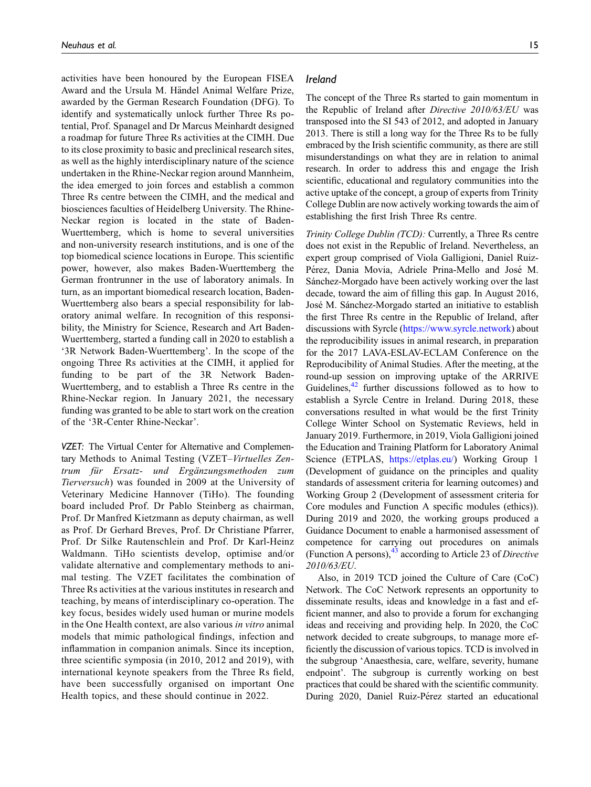activities have been honoured by the European FISEA Award and the Ursula M. Händel Animal Welfare Prize, awarded by the German Research Foundation (DFG). To identify and systematically unlock further Three Rs potential, Prof. Spanagel and Dr Marcus Meinhardt designed a roadmap for future Three Rs activities at the CIMH. Due to its close proximity to basic and preclinical research sites, as well as the highly interdisciplinary nature of the science undertaken in the Rhine-Neckar region around Mannheim, the idea emerged to join forces and establish a common Three Rs centre between the CIMH, and the medical and biosciences faculties of Heidelberg University. The Rhine-Neckar region is located in the state of Baden-Wuerttemberg, which is home to several universities and non-university research institutions, and is one of the top biomedical science locations in Europe. This scientific power, however, also makes Baden-Wuerttemberg the German frontrunner in the use of laboratory animals. In turn, as an important biomedical research location, Baden-Wuerttemberg also bears a special responsibility for laboratory animal welfare. In recognition of this responsibility, the Ministry for Science, Research and Art Baden-Wuerttemberg, started a funding call in 2020 to establish a '3R Network Baden-Wuerttemberg'. In the scope of the ongoing Three Rs activities at the CIMH, it applied for funding to be part of the 3R Network Baden-Wuerttemberg, and to establish a Three Rs centre in the Rhine-Neckar region. In January 2021, the necessary funding was granted to be able to start work on the creation of the '3R-Center Rhine-Neckar'.

VZET: The Virtual Center for Alternative and Complementary Methods to Animal Testing (VZET–Virtuelles Zentrum für Ersatz- und Ergänzungsmethoden zum Tierversuch) was founded in 2009 at the University of Veterinary Medicine Hannover (TiHo). The founding board included Prof. Dr Pablo Steinberg as chairman, Prof. Dr Manfred Kietzmann as deputy chairman, as well as Prof. Dr Gerhard Breves, Prof. Dr Christiane Pfarrer, Prof. Dr Silke Rautenschlein and Prof. Dr Karl-Heinz Waldmann. TiHo scientists develop, optimise and/or validate alternative and complementary methods to animal testing. The VZET facilitates the combination of Three Rs activities at the various institutes in research and teaching, by means of interdisciplinary co-operation. The key focus, besides widely used human or murine models in the One Health context, are also various in vitro animal models that mimic pathological findings, infection and inflammation in companion animals. Since its inception, three scientific symposia (in 2010, 2012 and 2019), with international keynote speakers from the Three Rs field, have been successfully organised on important One Health topics, and these should continue in 2022.

# Ireland

The concept of the Three Rs started to gain momentum in the Republic of Ireland after Directive 2010/63/EU was transposed into the SI 543 of 2012, and adopted in January 2013. There is still a long way for the Three Rs to be fully embraced by the Irish scientific community, as there are still misunderstandings on what they are in relation to animal research. In order to address this and engage the Irish scientific, educational and regulatory communities into the active uptake of the concept, a group of experts from Trinity College Dublin are now actively working towards the aim of establishing the first Irish Three Rs centre.

Trinity College Dublin (TCD): Currently, a Three Rs centre does not exist in the Republic of Ireland. Nevertheless, an expert group comprised of Viola Galligioni, Daniel Ruiz-Pérez, Dania Movia, Adriele Prina-Mello and José M. Sánchez-Morgado have been actively working over the last decade, toward the aim of filling this gap. In August 2016, José M. Sánchez-Morgado started an initiative to establish the first Three Rs centre in the Republic of Ireland, after discussions with Syrcle [\(https://www.syrcle.network](https://www.syrcle.network)) about the reproducibility issues in animal research, in preparation for the 2017 LAVA-ESLAV-ECLAM Conference on the Reproducibility of Animal Studies. After the meeting, at the round-up session on improving uptake of the ARRIVE Guidelines, $42$  further discussions followed as to how to establish a Syrcle Centre in Ireland. During 2018, these conversations resulted in what would be the first Trinity College Winter School on Systematic Reviews, held in January 2019. Furthermore, in 2019, Viola Galligioni joined the Education and Training Platform for Laboratory Animal Science (ETPLAS, [https://etplas.eu/\)](https://etplas.eu/) Working Group 1 (Development of guidance on the principles and quality standards of assessment criteria for learning outcomes) and Working Group 2 (Development of assessment criteria for Core modules and Function A specific modules (ethics)). During 2019 and 2020, the working groups produced a Guidance Document to enable a harmonised assessment of competence for carrying out procedures on animals (Function A persons),  $^{43}$  $^{43}$  $^{43}$  according to Article 23 of Directive 2010/63/EU.

Also, in 2019 TCD joined the Culture of Care (CoC) Network. The CoC Network represents an opportunity to disseminate results, ideas and knowledge in a fast and efficient manner, and also to provide a forum for exchanging ideas and receiving and providing help. In 2020, the CoC network decided to create subgroups, to manage more efficiently the discussion of various topics. TCD is involved in the subgroup 'Anaesthesia, care, welfare, severity, humane endpoint'. The subgroup is currently working on best practices that could be shared with the scientific community. During 2020, Daniel Ruiz-Pérez started an educational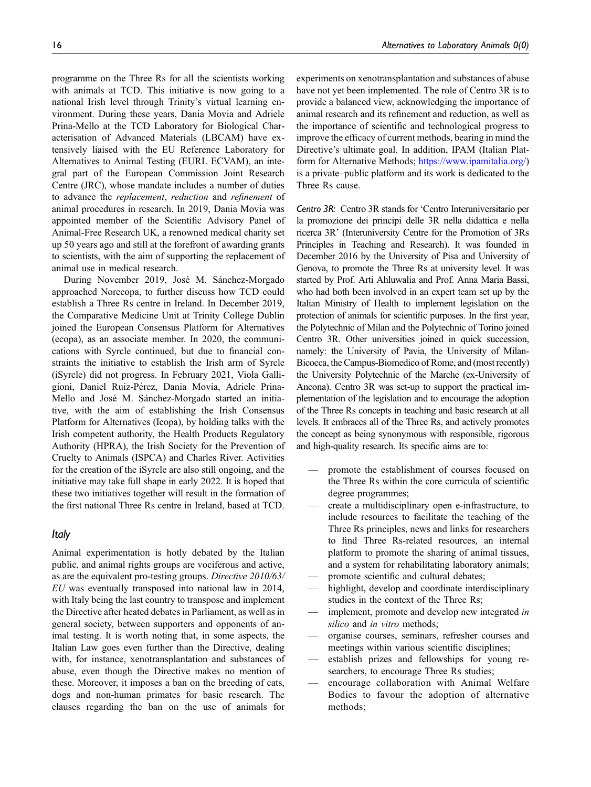programme on the Three Rs for all the scientists working with animals at TCD. This initiative is now going to a national Irish level through Trinity's virtual learning environment. During these years, Dania Movia and Adriele Prina-Mello at the TCD Laboratory for Biological Characterisation of Advanced Materials (LBCAM) have extensively liaised with the EU Reference Laboratory for Alternatives to Animal Testing (EURL ECVAM), an integral part of the European Commission Joint Research Centre (JRC), whose mandate includes a number of duties to advance the replacement, reduction and refinement of animal procedures in research. In 2019, Dania Movia was appointed member of the Scientific Advisory Panel of Animal-Free Research UK, a renowned medical charity set up 50 years ago and still at the forefront of awarding grants to scientists, with the aim of supporting the replacement of animal use in medical research.

During November 2019, José M. Sánchez-Morgado approached Norecopa, to further discuss how TCD could establish a Three Rs centre in Ireland. In December 2019, the Comparative Medicine Unit at Trinity College Dublin joined the European Consensus Platform for Alternatives (ecopa), as an associate member. In 2020, the communications with Syrcle continued, but due to financial constraints the initiative to establish the Irish arm of Syrcle (iSyrcle) did not progress. In February 2021, Viola Galligioni, Daniel Ruiz-Pérez, Dania Movia, Adriele Prina-Mello and José M. Sánchez-Morgado started an initiative, with the aim of establishing the Irish Consensus Platform for Alternatives (Icopa), by holding talks with the Irish competent authority, the Health Products Regulatory Authority (HPRA), the Irish Society for the Prevention of Cruelty to Animals (ISPCA) and Charles River. Activities for the creation of the iSyrcle are also still ongoing, and the initiative may take full shape in early 2022. It is hoped that these two initiatives together will result in the formation of the first national Three Rs centre in Ireland, based at TCD.

#### Italy

Animal experimentation is hotly debated by the Italian public, and animal rights groups are vociferous and active, as are the equivalent pro-testing groups. Directive 2010/63/ EU was eventually transposed into national law in 2014, with Italy being the last country to transpose and implement the Directive after heated debates in Parliament, as well as in general society, between supporters and opponents of animal testing. It is worth noting that, in some aspects, the Italian Law goes even further than the Directive, dealing with, for instance, xenotransplantation and substances of abuse, even though the Directive makes no mention of these. Moreover, it imposes a ban on the breeding of cats, dogs and non-human primates for basic research. The clauses regarding the ban on the use of animals for experiments on xenotransplantation and substances of abuse have not yet been implemented. The role of Centro 3R is to provide a balanced view, acknowledging the importance of animal research and its refinement and reduction, as well as the importance of scientific and technological progress to improve the efficacy of current methods, bearing in mind the Directive's ultimate goal. In addition, IPAM (Italian Platform for Alternative Methods; <https://www.ipamitalia.org/>) is a private–public platform and its work is dedicated to the Three Rs cause.

Centro 3R: Centro 3R stands for 'Centro Interuniversitario per la promozione dei principi delle 3R nella didattica e nella ricerca 3R' (Interuniversity Centre for the Promotion of 3Rs Principles in Teaching and Research). It was founded in December 2016 by the University of Pisa and University of Genova, to promote the Three Rs at university level. It was started by Prof. Arti Ahluwalia and Prof. Anna Maria Bassi, who had both been involved in an expert team set up by the Italian Ministry of Health to implement legislation on the protection of animals for scientific purposes. In the first year, the Polytechnic of Milan and the Polytechnic of Torino joined Centro 3R. Other universities joined in quick succession, namely: the University of Pavia, the University of Milan-Bicocca, the Campus-Biomedico of Rome, and (most recently) the University Polytechnic of the Marche (ex-University of Ancona). Centro 3R was set-up to support the practical implementation of the legislation and to encourage the adoption of the Three Rs concepts in teaching and basic research at all levels. It embraces all of the Three Rs, and actively promotes the concept as being synonymous with responsible, rigorous and high-quality research. Its specific aims are to:

- promote the establishment of courses focused on the Three Rs within the core curricula of scientific degree programmes;
- create a multidisciplinary open e-infrastructure, to include resources to facilitate the teaching of the Three Rs principles, news and links for researchers to find Three Rs-related resources, an internal platform to promote the sharing of animal tissues, and a system for rehabilitating laboratory animals;
- promote scientific and cultural debates;
- highlight, develop and coordinate interdisciplinary studies in the context of the Three Rs;
- implement, promote and develop new integrated in silico and in vitro methods;
- organise courses, seminars, refresher courses and meetings within various scientific disciplines;
- establish prizes and fellowships for young researchers, to encourage Three Rs studies;
- encourage collaboration with Animal Welfare Bodies to favour the adoption of alternative methods;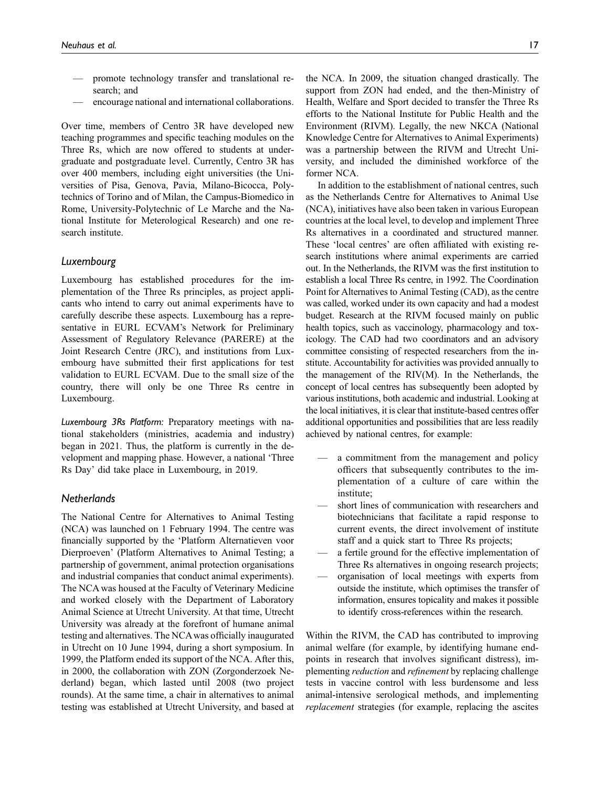- promote technology transfer and translational research; and
- encourage national and international collaborations.

Over time, members of Centro 3R have developed new teaching programmes and specific teaching modules on the Three Rs, which are now offered to students at undergraduate and postgraduate level. Currently, Centro 3R has over 400 members, including eight universities (the Universities of Pisa, Genova, Pavia, Milano-Bicocca, Polytechnics of Torino and of Milan, the Campus-Biomedico in Rome, University-Polytechnic of Le Marche and the National Institute for Meterological Research) and one research institute.

#### Luxembourg

Luxembourg has established procedures for the implementation of the Three Rs principles, as project applicants who intend to carry out animal experiments have to carefully describe these aspects. Luxembourg has a representative in EURL ECVAM's Network for Preliminary Assessment of Regulatory Relevance (PARERE) at the Joint Research Centre (JRC), and institutions from Luxembourg have submitted their first applications for test validation to EURL ECVAM. Due to the small size of the country, there will only be one Three Rs centre in Luxembourg.

Luxembourg 3Rs Platform: Preparatory meetings with national stakeholders (ministries, academia and industry) began in 2021. Thus, the platform is currently in the development and mapping phase. However, a national 'Three Rs Day' did take place in Luxembourg, in 2019.

#### **Netherlands**

The National Centre for Alternatives to Animal Testing (NCA) was launched on 1 February 1994. The centre was financially supported by the 'Platform Alternatieven voor Dierproeven' (Platform Alternatives to Animal Testing; a partnership of government, animal protection organisations and industrial companies that conduct animal experiments). The NCA was housed at the Faculty of Veterinary Medicine and worked closely with the Department of Laboratory Animal Science at Utrecht University. At that time, Utrecht University was already at the forefront of humane animal testing and alternatives. The NCAwas officially inaugurated in Utrecht on 10 June 1994, during a short symposium. In 1999, the Platform ended its support of the NCA. After this, in 2000, the collaboration with ZON (Zorgonderzoek Nederland) began, which lasted until 2008 (two project rounds). At the same time, a chair in alternatives to animal testing was established at Utrecht University, and based at the NCA. In 2009, the situation changed drastically. The support from ZON had ended, and the then-Ministry of Health, Welfare and Sport decided to transfer the Three Rs efforts to the National Institute for Public Health and the Environment (RIVM). Legally, the new NKCA (National Knowledge Centre for Alternatives to Animal Experiments) was a partnership between the RIVM and Utrecht University, and included the diminished workforce of the former NCA.

In addition to the establishment of national centres, such as the Netherlands Centre for Alternatives to Animal Use (NCA), initiatives have also been taken in various European countries at the local level, to develop and implement Three Rs alternatives in a coordinated and structured manner. These 'local centres' are often affiliated with existing research institutions where animal experiments are carried out. In the Netherlands, the RIVM was the first institution to establish a local Three Rs centre, in 1992. The Coordination Point for Alternatives to Animal Testing (CAD), as the centre was called, worked under its own capacity and had a modest budget. Research at the RIVM focused mainly on public health topics, such as vaccinology, pharmacology and toxicology. The CAD had two coordinators and an advisory committee consisting of respected researchers from the institute. Accountability for activities was provided annually to the management of the RIV(M). In the Netherlands, the concept of local centres has subsequently been adopted by various institutions, both academic and industrial. Looking at the local initiatives, it is clear that institute-based centres offer additional opportunities and possibilities that are less readily achieved by national centres, for example:

- a commitment from the management and policy officers that subsequently contributes to the implementation of a culture of care within the institute;
- short lines of communication with researchers and biotechnicians that facilitate a rapid response to current events, the direct involvement of institute staff and a quick start to Three Rs projects;
- a fertile ground for the effective implementation of Three Rs alternatives in ongoing research projects;
- organisation of local meetings with experts from outside the institute, which optimises the transfer of information, ensures topicality and makes it possible to identify cross-references within the research.

Within the RIVM, the CAD has contributed to improving animal welfare (for example, by identifying humane endpoints in research that involves significant distress), implementing reduction and refinement by replacing challenge tests in vaccine control with less burdensome and less animal-intensive serological methods, and implementing replacement strategies (for example, replacing the ascites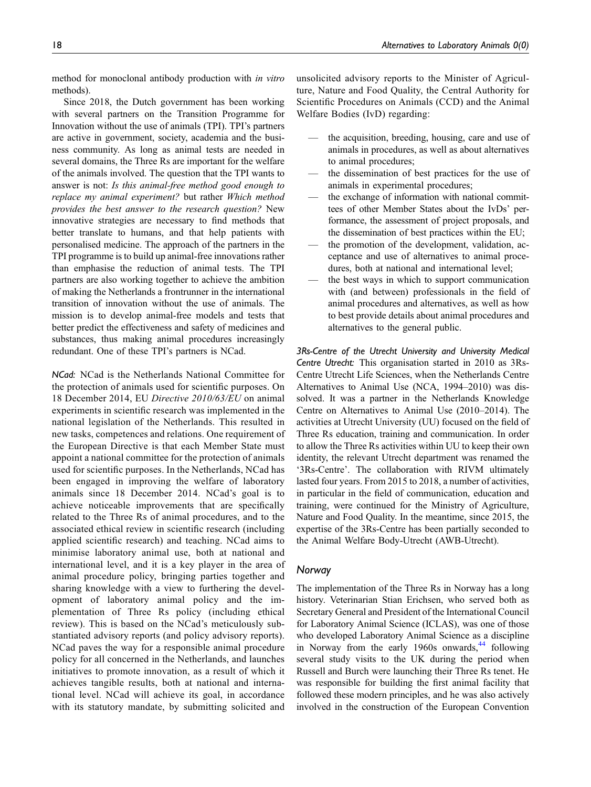method for monoclonal antibody production with in vitro methods).

Since 2018, the Dutch government has been working with several partners on the Transition Programme for Innovation without the use of animals (TPI). TPI's partners are active in government, society, academia and the business community. As long as animal tests are needed in several domains, the Three Rs are important for the welfare of the animals involved. The question that the TPI wants to answer is not: Is this animal-free method good enough to replace my animal experiment? but rather Which method provides the best answer to the research question? New innovative strategies are necessary to find methods that better translate to humans, and that help patients with personalised medicine. The approach of the partners in the TPI programme is to build up animal-free innovations rather than emphasise the reduction of animal tests. The TPI partners are also working together to achieve the ambition of making the Netherlands a frontrunner in the international transition of innovation without the use of animals. The mission is to develop animal-free models and tests that better predict the effectiveness and safety of medicines and substances, thus making animal procedures increasingly redundant. One of these TPI's partners is NCad.

NCad: NCad is the Netherlands National Committee for the protection of animals used for scientific purposes. On 18 December 2014, EU Directive 2010/63/EU on animal experiments in scientific research was implemented in the national legislation of the Netherlands. This resulted in new tasks, competences and relations. One requirement of the European Directive is that each Member State must appoint a national committee for the protection of animals used for scientific purposes. In the Netherlands, NCad has been engaged in improving the welfare of laboratory animals since 18 December 2014. NCad's goal is to achieve noticeable improvements that are specifically related to the Three Rs of animal procedures, and to the associated ethical review in scientific research (including applied scientific research) and teaching. NCad aims to minimise laboratory animal use, both at national and international level, and it is a key player in the area of animal procedure policy, bringing parties together and sharing knowledge with a view to furthering the development of laboratory animal policy and the implementation of Three Rs policy (including ethical review). This is based on the NCad's meticulously substantiated advisory reports (and policy advisory reports). NCad paves the way for a responsible animal procedure policy for all concerned in the Netherlands, and launches initiatives to promote innovation, as a result of which it achieves tangible results, both at national and international level. NCad will achieve its goal, in accordance with its statutory mandate, by submitting solicited and unsolicited advisory reports to the Minister of Agriculture, Nature and Food Quality, the Central Authority for Scientific Procedures on Animals (CCD) and the Animal Welfare Bodies (IvD) regarding:

- the acquisition, breeding, housing, care and use of animals in procedures, as well as about alternatives to animal procedures;
- the dissemination of best practices for the use of animals in experimental procedures;
- the exchange of information with national committees of other Member States about the IvDs' performance, the assessment of project proposals, and the dissemination of best practices within the EU;
- the promotion of the development, validation, acceptance and use of alternatives to animal procedures, both at national and international level;
- the best ways in which to support communication with (and between) professionals in the field of animal procedures and alternatives, as well as how to best provide details about animal procedures and alternatives to the general public.

3Rs-Centre of the Utrecht University and University Medical Centre Utrecht: This organisation started in 2010 as 3Rs-Centre Utrecht Life Sciences, when the Netherlands Centre Alternatives to Animal Use (NCA, 1994–2010) was dissolved. It was a partner in the Netherlands Knowledge Centre on Alternatives to Animal Use (2010–2014). The activities at Utrecht University (UU) focused on the field of Three Rs education, training and communication. In order to allow the Three Rs activities within UU to keep their own identity, the relevant Utrecht department was renamed the '3Rs-Centre'. The collaboration with RIVM ultimately lasted four years. From 2015 to 2018, a number of activities, in particular in the field of communication, education and training, were continued for the Ministry of Agriculture, Nature and Food Quality. In the meantime, since 2015, the expertise of the 3Rs-Centre has been partially seconded to the Animal Welfare Body-Utrecht (AWB-Utrecht).

# Norway

The implementation of the Three Rs in Norway has a long history. Veterinarian Stian Erichsen, who served both as Secretary General and President of the International Council for Laboratory Animal Science (ICLAS), was one of those who developed Laboratory Animal Science as a discipline in Norway from the early 1960s onwards, $44$  following several study visits to the UK during the period when Russell and Burch were launching their Three Rs tenet. He was responsible for building the first animal facility that followed these modern principles, and he was also actively involved in the construction of the European Convention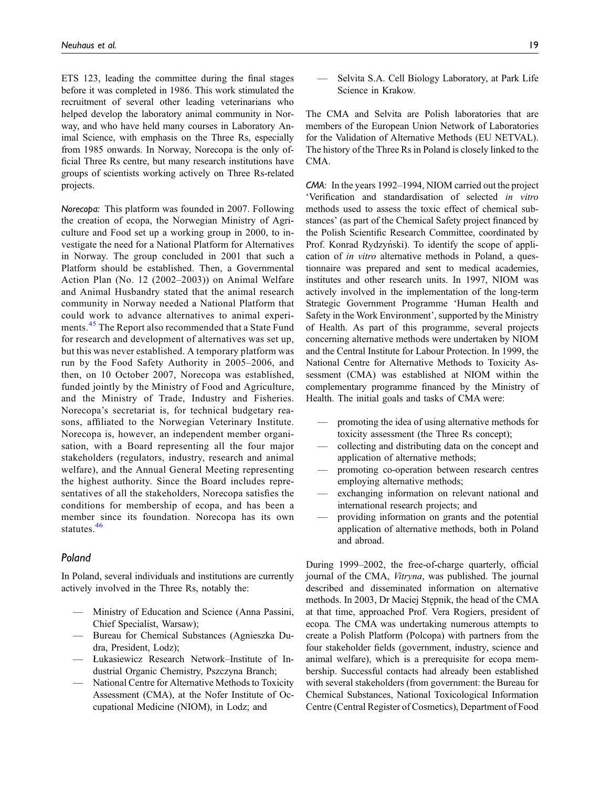ETS 123, leading the committee during the final stages before it was completed in 1986. This work stimulated the recruitment of several other leading veterinarians who helped develop the laboratory animal community in Norway, and who have held many courses in Laboratory Animal Science, with emphasis on the Three Rs, especially from 1985 onwards. In Norway, Norecopa is the only official Three Rs centre, but many research institutions have groups of scientists working actively on Three Rs-related projects.

Norecopa: This platform was founded in 2007. Following the creation of ecopa, the Norwegian Ministry of Agriculture and Food set up a working group in 2000, to investigate the need for a National Platform for Alternatives in Norway. The group concluded in 2001 that such a Platform should be established. Then, a Governmental Action Plan (No. 12 (2002–2003)) on Animal Welfare and Animal Husbandry stated that the animal research community in Norway needed a National Platform that could work to advance alternatives to animal experi-ments.<sup>[45](#page-28-1)</sup> The Report also recommended that a State Fund for research and development of alternatives was set up, but this was never established. A temporary platform was run by the Food Safety Authority in 2005–2006, and then, on 10 October 2007, Norecopa was established, funded jointly by the Ministry of Food and Agriculture, and the Ministry of Trade, Industry and Fisheries. Norecopa's secretariat is, for technical budgetary reasons, affiliated to the Norwegian Veterinary Institute. Norecopa is, however, an independent member organisation, with a Board representing all the four major stakeholders (regulators, industry, research and animal welfare), and the Annual General Meeting representing the highest authority. Since the Board includes representatives of all the stakeholders, Norecopa satisfies the conditions for membership of ecopa, and has been a member since its foundation. Norecopa has its own statutes.<sup>[46](#page-28-2)</sup>

#### Poland

In Poland, several individuals and institutions are currently actively involved in the Three Rs, notably the:

- Ministry of Education and Science (Anna Passini, Chief Specialist, Warsaw);
- Bureau for Chemical Substances (Agnieszka Dudra, President, Lodz);
- Łukasiewicz Research Network–Institute of Industrial Organic Chemistry, Pszczyna Branch;
- National Centre for Alternative Methods to Toxicity Assessment (CMA), at the Nofer Institute of Occupational Medicine (NIOM), in Lodz; and

— Selvita S.A. Cell Biology Laboratory, at Park Life Science in Krakow.

The CMA and Selvita are Polish laboratories that are members of the European Union Network of Laboratories for the Validation of Alternative Methods (EU NETVAL). The history of the Three Rs in Poland is closely linked to the CMA.

CMA: In the years 1992–1994, NIOM carried out the project 'Verification and standardisation of selected in vitro methods used to assess the toxic effect of chemical substances' (as part of the Chemical Safety project financed by the Polish Scientific Research Committee, coordinated by Prof. Konrad Rydzyński). To identify the scope of application of in vitro alternative methods in Poland, a questionnaire was prepared and sent to medical academies, institutes and other research units. In 1997, NIOM was actively involved in the implementation of the long-term Strategic Government Programme 'Human Health and Safety in the Work Environment', supported by the Ministry of Health. As part of this programme, several projects concerning alternative methods were undertaken by NIOM and the Central Institute for Labour Protection. In 1999, the National Centre for Alternative Methods to Toxicity Assessment (CMA) was established at NIOM within the complementary programme financed by the Ministry of Health. The initial goals and tasks of CMA were:

- promoting the idea of using alternative methods for toxicity assessment (the Three Rs concept);
- collecting and distributing data on the concept and application of alternative methods;
- promoting co-operation between research centres employing alternative methods;
- exchanging information on relevant national and international research projects; and
- providing information on grants and the potential application of alternative methods, both in Poland and abroad.

During 1999–2002, the free-of-charge quarterly, official journal of the CMA, Vitryna, was published. The journal described and disseminated information on alternative methods. In 2003, Dr Maciej Stepnik, the head of the CMA at that time, approached Prof. Vera Rogiers, president of ecopa. The CMA was undertaking numerous attempts to create a Polish Platform (Polcopa) with partners from the four stakeholder fields (government, industry, science and animal welfare), which is a prerequisite for ecopa membership. Successful contacts had already been established with several stakeholders (from government: the Bureau for Chemical Substances, National Toxicological Information Centre (Central Register of Cosmetics), Department of Food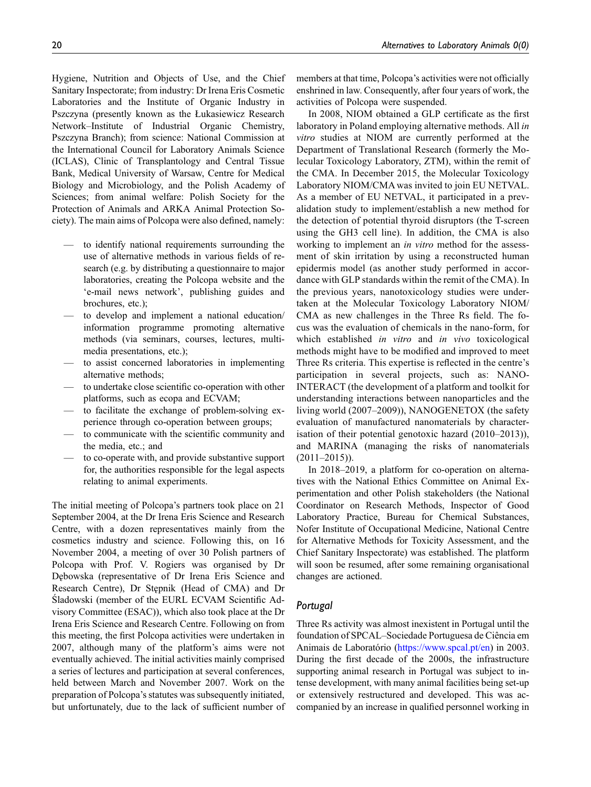Hygiene, Nutrition and Objects of Use, and the Chief Sanitary Inspectorate; from industry: Dr Irena Eris Cosmetic Laboratories and the Institute of Organic Industry in Pszczyna (presently known as the Łukasiewicz Research Network–Institute of Industrial Organic Chemistry, Pszczyna Branch); from science: National Commission at the International Council for Laboratory Animals Science (ICLAS), Clinic of Transplantology and Central Tissue Bank, Medical University of Warsaw, Centre for Medical Biology and Microbiology, and the Polish Academy of Sciences; from animal welfare: Polish Society for the Protection of Animals and ARKA Animal Protection Society). The main aims of Polcopa were also defined, namely:

- to identify national requirements surrounding the use of alternative methods in various fields of research (e.g. by distributing a questionnaire to major laboratories, creating the Polcopa website and the 'e-mail news network', publishing guides and brochures, etc.);
- to develop and implement a national education/ information programme promoting alternative methods (via seminars, courses, lectures, multimedia presentations, etc.);
- to assist concerned laboratories in implementing alternative methods;
- to undertake close scientific co-operation with other platforms, such as ecopa and ECVAM;
- to facilitate the exchange of problem-solving experience through co-operation between groups;
- to communicate with the scientific community and the media, etc.; and
- to co-operate with, and provide substantive support for, the authorities responsible for the legal aspects relating to animal experiments.

The initial meeting of Polcopa's partners took place on 21 September 2004, at the Dr Irena Eris Science and Research Centre, with a dozen representatives mainly from the cosmetics industry and science. Following this, on 16 November 2004, a meeting of over 30 Polish partners of Polcopa with Prof. V. Rogiers was organised by Dr Debowska (representative of Dr Irena Eris Science and Research Centre), Dr Stepnik (Head of CMA) and Dr Sladowski (member of the EURL ECVAM Scientific Advisory Committee (ESAC)), which also took place at the Dr Irena Eris Science and Research Centre. Following on from this meeting, the first Polcopa activities were undertaken in 2007, although many of the platform's aims were not eventually achieved. The initial activities mainly comprised a series of lectures and participation at several conferences, held between March and November 2007. Work on the preparation of Polcopa's statutes was subsequently initiated, but unfortunately, due to the lack of sufficient number of members at that time, Polcopa's activities were not officially enshrined in law. Consequently, after four years of work, the activities of Polcopa were suspended.

In 2008, NIOM obtained a GLP certificate as the first laboratory in Poland employing alternative methods. All *in* vitro studies at NIOM are currently performed at the Department of Translational Research (formerly the Molecular Toxicology Laboratory, ZTM), within the remit of the CMA. In December 2015, the Molecular Toxicology Laboratory NIOM/CMA was invited to join EU NETVAL. As a member of EU NETVAL, it participated in a prevalidation study to implement/establish a new method for the detection of potential thyroid disruptors (the T-screen using the GH3 cell line). In addition, the CMA is also working to implement an in vitro method for the assessment of skin irritation by using a reconstructed human epidermis model (as another study performed in accordance with GLP standards within the remit of the CMA). In the previous years, nanotoxicology studies were undertaken at the Molecular Toxicology Laboratory NIOM/ CMA as new challenges in the Three Rs field. The focus was the evaluation of chemicals in the nano-form, for which established in vitro and in vivo toxicological methods might have to be modified and improved to meet Three Rs criteria. This expertise is reflected in the centre's participation in several projects, such as: NANO-INTERACT (the development of a platform and toolkit for understanding interactions between nanoparticles and the living world (2007–2009)), NANOGENETOX (the safety evaluation of manufactured nanomaterials by characterisation of their potential genotoxic hazard (2010–2013)), and MARINA (managing the risks of nanomaterials  $(2011-2015)$ ).

In 2018–2019, a platform for co-operation on alternatives with the National Ethics Committee on Animal Experimentation and other Polish stakeholders (the National Coordinator on Research Methods, Inspector of Good Laboratory Practice, Bureau for Chemical Substances, Nofer Institute of Occupational Medicine, National Centre for Alternative Methods for Toxicity Assessment, and the Chief Sanitary Inspectorate) was established. The platform will soon be resumed, after some remaining organisational changes are actioned.

# Portugal

Three Rs activity was almost inexistent in Portugal until the foundation of SPCAL–Sociedade Portuguesa de Ciência em Animais de Laboratório (<https://www.spcal.pt/en>) in 2003. During the first decade of the 2000s, the infrastructure supporting animal research in Portugal was subject to intense development, with many animal facilities being set-up or extensively restructured and developed. This was accompanied by an increase in qualified personnel working in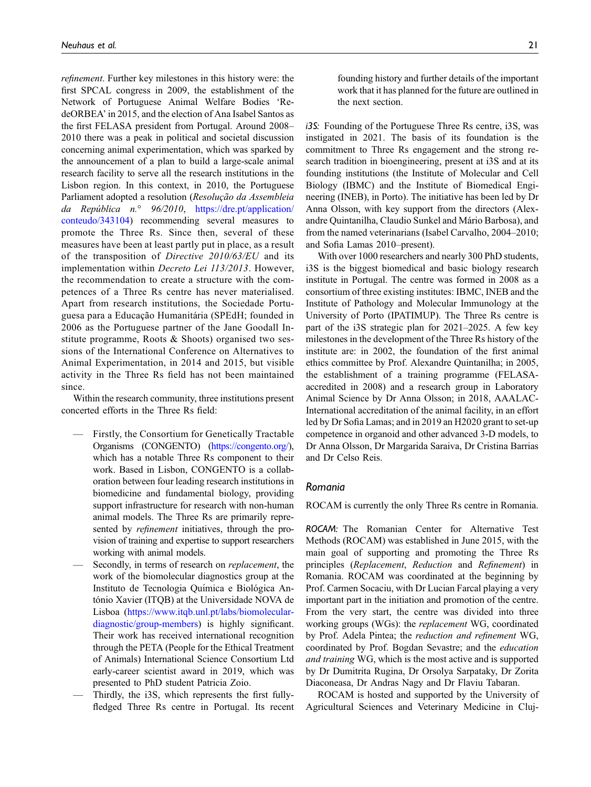refinement. Further key milestones in this history were: the first SPCAL congress in 2009, the establishment of the Network of Portuguese Animal Welfare Bodies 'RedeORBEA' in 2015, and the election of Ana Isabel Santos as the first FELASA president from Portugal. Around 2008– 2010 there was a peak in political and societal discussion concerning animal experimentation, which was sparked by the announcement of a plan to build a large-scale animal research facility to serve all the research institutions in the Lisbon region. In this context, in 2010, the Portuguese Parliament adopted a resolution (Resolução da Assembleia da República  $n$ ° 96/2010, [https://dre.pt/application/](https://dre.pt/application/conteudo/343104) [conteudo/343104\)](https://dre.pt/application/conteudo/343104) recommending several measures to promote the Three Rs. Since then, several of these measures have been at least partly put in place, as a result of the transposition of Directive 2010/63/EU and its implementation within Decreto Lei 113/2013. However, the recommendation to create a structure with the competences of a Three Rs centre has never materialised. Apart from research institutions, the Sociedade Portuguesa para a Educação Humanitária (SPEdH; founded in 2006 as the Portuguese partner of the Jane Goodall Institute programme, Roots & Shoots) organised two sessions of the International Conference on Alternatives to Animal Experimentation, in 2014 and 2015, but visible activity in the Three Rs field has not been maintained since.

Within the research community, three institutions present concerted efforts in the Three Rs field:

- Firstly, the Consortium for Genetically Tractable Organisms (CONGENTO) [\(https://congento.org/\)](https://congento.org/), which has a notable Three Rs component to their work. Based in Lisbon, CONGENTO is a collaboration between four leading research institutions in biomedicine and fundamental biology, providing support infrastructure for research with non-human animal models. The Three Rs are primarily represented by *refinement* initiatives, through the provision of training and expertise to support researchers working with animal models.
- Secondly, in terms of research on replacement, the work of the biomolecular diagnostics group at the Instituto de Tecnologia Química e Biológica António Xavier (ITQB) at the Universidade NOVA de Lisboa [\(https://www.itqb.unl.pt/labs/biomolecular](https://www.itqb.unl.pt/labs/biomolecular-diagnostic/group-members)[diagnostic/group-members\)](https://www.itqb.unl.pt/labs/biomolecular-diagnostic/group-members) is highly significant. Their work has received international recognition through the PETA (People for the Ethical Treatment of Animals) International Science Consortium Ltd early-career scientist award in 2019, which was presented to PhD student Patricia Zoio.
- Thirdly, the i3S, which represents the first fullyfledged Three Rs centre in Portugal. Its recent

founding history and further details of the important work that it has planned for the future are outlined in the next section.

i3S: Founding of the Portuguese Three Rs centre, i3S, was instigated in 2021. The basis of its foundation is the commitment to Three Rs engagement and the strong research tradition in bioengineering, present at i3S and at its founding institutions (the Institute of Molecular and Cell Biology (IBMC) and the Institute of Biomedical Engineering (INEB), in Porto). The initiative has been led by Dr Anna Olsson, with key support from the directors (Alexandre Quintanilha, Claudio Sunkel and Mario Barbosa), and ´ from the named veterinarians (Isabel Carvalho, 2004–2010; and Sofia Lamas 2010–present).

With over 1000 researchers and nearly 300 PhD students, i3S is the biggest biomedical and basic biology research institute in Portugal. The centre was formed in 2008 as a consortium of three existing institutes: IBMC, INEB and the Institute of Pathology and Molecular Immunology at the University of Porto (IPATIMUP). The Three Rs centre is part of the i3S strategic plan for 2021–2025. A few key milestones in the development of the Three Rs history of the institute are: in 2002, the foundation of the first animal ethics committee by Prof. Alexandre Quintanilha; in 2005, the establishment of a training programme (FELASAaccredited in 2008) and a research group in Laboratory Animal Science by Dr Anna Olsson; in 2018, AAALAC-International accreditation of the animal facility, in an effort led by Dr Sofia Lamas; and in 2019 an H2020 grant to set-up competence in organoid and other advanced 3-D models, to Dr Anna Olsson, Dr Margarida Saraiva, Dr Cristina Barrias and Dr Celso Reis.

#### Romania

ROCAM is currently the only Three Rs centre in Romania.

ROCAM: The Romanian Center for Alternative Test Methods (ROCAM) was established in June 2015, with the main goal of supporting and promoting the Three Rs principles (Replacement, Reduction and Refinement) in Romania. ROCAM was coordinated at the beginning by Prof. Carmen Socaciu, with Dr Lucian Farcal playing a very important part in the initiation and promotion of the centre. From the very start, the centre was divided into three working groups (WGs): the replacement WG, coordinated by Prof. Adela Pintea; the reduction and refinement WG, coordinated by Prof. Bogdan Sevastre; and the education and training WG, which is the most active and is supported by Dr Dumitrita Rugina, Dr Orsolya Sarpataky, Dr Zorita Diaconeasa, Dr Andras Nagy and Dr Flaviu Tabaran.

ROCAM is hosted and supported by the University of Agricultural Sciences and Veterinary Medicine in Cluj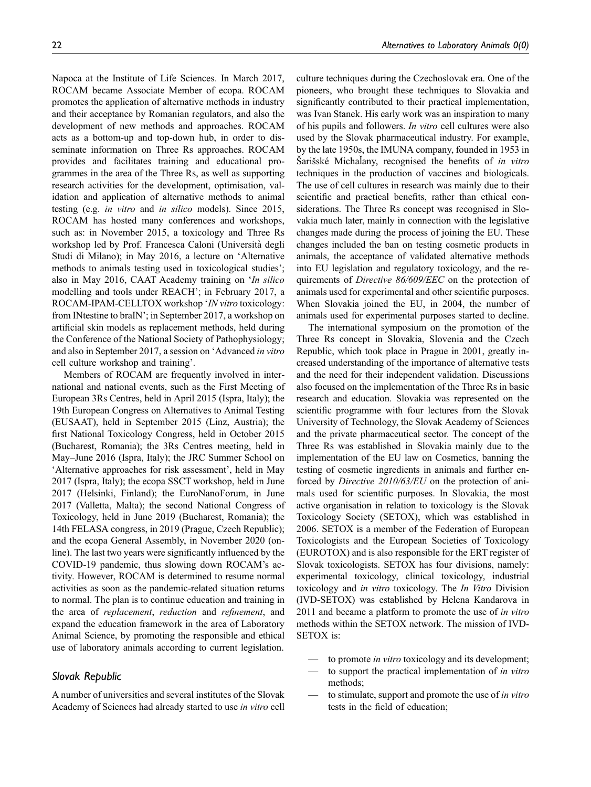Napoca at the Institute of Life Sciences. In March 2017, ROCAM became Associate Member of ecopa. ROCAM promotes the application of alternative methods in industry and their acceptance by Romanian regulators, and also the development of new methods and approaches. ROCAM acts as a bottom-up and top-down hub, in order to disseminate information on Three Rs approaches. ROCAM provides and facilitates training and educational programmes in the area of the Three Rs, as well as supporting research activities for the development, optimisation, validation and application of alternative methods to animal testing (e.g. in vitro and in silico models). Since 2015, ROCAM has hosted many conferences and workshops, such as: in November 2015, a toxicology and Three Rs workshop led by Prof. Francesca Caloni (Universita degli ` Studi di Milano); in May 2016, a lecture on 'Alternative methods to animals testing used in toxicological studies'; also in May 2016, CAAT Academy training on 'In silico modelling and tools under REACH'; in February 2017, a ROCAM-IPAM-CELLTOX workshop 'IN vitro toxicology: from INtestine to braIN'; in September 2017, a workshop on artificial skin models as replacement methods, held during the Conference of the National Society of Pathophysiology; and also in September 2017, a session on 'Advanced in vitro cell culture workshop and training'.

Members of ROCAM are frequently involved in international and national events, such as the First Meeting of European 3Rs Centres, held in April 2015 (Ispra, Italy); the 19th European Congress on Alternatives to Animal Testing (EUSAAT), held in September 2015 (Linz, Austria); the first National Toxicology Congress, held in October 2015 (Bucharest, Romania); the 3Rs Centres meeting, held in May–June 2016 (Ispra, Italy); the JRC Summer School on 'Alternative approaches for risk assessment', held in May 2017 (Ispra, Italy); the ecopa SSCT workshop, held in June 2017 (Helsinki, Finland); the EuroNanoForum, in June 2017 (Valletta, Malta); the second National Congress of Toxicology, held in June 2019 (Bucharest, Romania); the 14th FELASA congress, in 2019 (Prague, Czech Republic); and the ecopa General Assembly, in November 2020 (online). The last two years were significantly influenced by the COVID-19 pandemic, thus slowing down ROCAM's activity. However, ROCAM is determined to resume normal activities as soon as the pandemic-related situation returns to normal. The plan is to continue education and training in the area of replacement, reduction and refinement, and expand the education framework in the area of Laboratory Animal Science, by promoting the responsible and ethical use of laboratory animals according to current legislation.

# Slovak Republic

A number of universities and several institutes of the Slovak Academy of Sciences had already started to use in vitro cell culture techniques during the Czechoslovak era. One of the pioneers, who brought these techniques to Slovakia and significantly contributed to their practical implementation, was Ivan Stanek. His early work was an inspiration to many of his pupils and followers. In vitro cell cultures were also used by the Slovak pharmaceutical industry. For example, by the late 1950s, the IMUNA company, founded in 1953 in Šarišské Michalany, recognised the benefits of in vitro techniques in the production of vaccines and biologicals. The use of cell cultures in research was mainly due to their scientific and practical benefits, rather than ethical considerations. The Three Rs concept was recognised in Slovakia much later, mainly in connection with the legislative changes made during the process of joining the EU. These changes included the ban on testing cosmetic products in animals, the acceptance of validated alternative methods into EU legislation and regulatory toxicology, and the requirements of Directive 86/609/EEC on the protection of animals used for experimental and other scientific purposes. When Slovakia joined the EU, in 2004, the number of animals used for experimental purposes started to decline.

The international symposium on the promotion of the Three Rs concept in Slovakia, Slovenia and the Czech Republic, which took place in Prague in 2001, greatly increased understanding of the importance of alternative tests and the need for their independent validation. Discussions also focused on the implementation of the Three Rs in basic research and education. Slovakia was represented on the scientific programme with four lectures from the Slovak University of Technology, the Slovak Academy of Sciences and the private pharmaceutical sector. The concept of the Three Rs was established in Slovakia mainly due to the implementation of the EU law on Cosmetics, banning the testing of cosmetic ingredients in animals and further enforced by Directive 2010/63/EU on the protection of animals used for scientific purposes. In Slovakia, the most active organisation in relation to toxicology is the Slovak Toxicology Society (SETOX), which was established in 2006. SETOX is a member of the Federation of European Toxicologists and the European Societies of Toxicology (EUROTOX) and is also responsible for the ERT register of Slovak toxicologists. SETOX has four divisions, namely: experimental toxicology, clinical toxicology, industrial toxicology and in vitro toxicology. The In Vitro Division (IVD-SETOX) was established by Helena Kandarova in 2011 and became a platform to promote the use of in vitro methods within the SETOX network. The mission of IVD-SETOX is:

- to promote *in vitro* toxicology and its development;
- to support the practical implementation of *in vitro* methods;
- to stimulate, support and promote the use of in vitro tests in the field of education;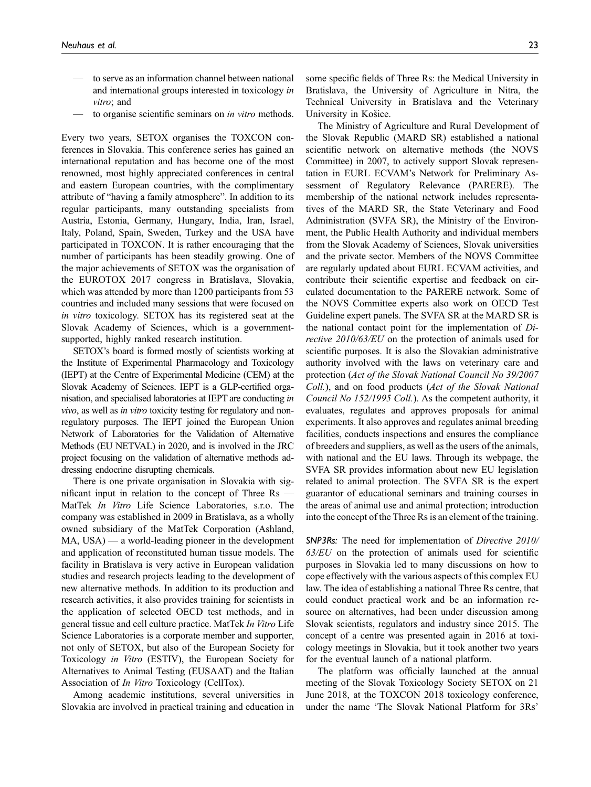- to serve as an information channel between national and international groups interested in toxicology in vitro; and
- to organise scientific seminars on *in vitro* methods.

Every two years, SETOX organises the TOXCON conferences in Slovakia. This conference series has gained an international reputation and has become one of the most renowned, most highly appreciated conferences in central and eastern European countries, with the complimentary attribute of "having a family atmosphere". In addition to its regular participants, many outstanding specialists from Austria, Estonia, Germany, Hungary, India, Iran, Israel, Italy, Poland, Spain, Sweden, Turkey and the USA have participated in TOXCON. It is rather encouraging that the number of participants has been steadily growing. One of the major achievements of SETOX was the organisation of the EUROTOX 2017 congress in Bratislava, Slovakia, which was attended by more than 1200 participants from 53 countries and included many sessions that were focused on in vitro toxicology. SETOX has its registered seat at the Slovak Academy of Sciences, which is a governmentsupported, highly ranked research institution.

SETOX's board is formed mostly of scientists working at the Institute of Experimental Pharmacology and Toxicology (IEPT) at the Centre of Experimental Medicine (CEM) at the Slovak Academy of Sciences. IEPT is a GLP-certified organisation, and specialised laboratories at IEPT are conducting in vivo, as well as in vitro toxicity testing for regulatory and nonregulatory purposes. The IEPT joined the European Union Network of Laboratories for the Validation of Alternative Methods (EU NETVAL) in 2020, and is involved in the JRC project focusing on the validation of alternative methods addressing endocrine disrupting chemicals.

There is one private organisation in Slovakia with significant input in relation to the concept of Three Rs — MatTek In Vitro Life Science Laboratories, s.r.o. The company was established in 2009 in Bratislava, as a wholly owned subsidiary of the MatTek Corporation (Ashland, MA, USA) — a world-leading pioneer in the development and application of reconstituted human tissue models. The facility in Bratislava is very active in European validation studies and research projects leading to the development of new alternative methods. In addition to its production and research activities, it also provides training for scientists in the application of selected OECD test methods, and in general tissue and cell culture practice. MatTek In Vitro Life Science Laboratories is a corporate member and supporter, not only of SETOX, but also of the European Society for Toxicology in Vitro (ESTIV), the European Society for Alternatives to Animal Testing (EUSAAT) and the Italian Association of In Vitro Toxicology (CellTox).

Among academic institutions, several universities in Slovakia are involved in practical training and education in

some specific fields of Three Rs: the Medical University in Bratislava, the University of Agriculture in Nitra, the Technical University in Bratislava and the Veterinary University in Košice.

The Ministry of Agriculture and Rural Development of the Slovak Republic (MARD SR) established a national scientific network on alternative methods (the NOVS Committee) in 2007, to actively support Slovak representation in EURL ECVAM's Network for Preliminary Assessment of Regulatory Relevance (PARERE). The membership of the national network includes representatives of the MARD SR, the State Veterinary and Food Administration (SVFA SR), the Ministry of the Environment, the Public Health Authority and individual members from the Slovak Academy of Sciences, Slovak universities and the private sector. Members of the NOVS Committee are regularly updated about EURL ECVAM activities, and contribute their scientific expertise and feedback on circulated documentation to the PARERE network. Some of the NOVS Committee experts also work on OECD Test Guideline expert panels. The SVFA SR at the MARD SR is the national contact point for the implementation of Directive 2010/63/EU on the protection of animals used for scientific purposes. It is also the Slovakian administrative authority involved with the laws on veterinary care and protection (Act of the Slovak National Council No 39/2007 Coll.), and on food products (Act of the Slovak National Council No 152/1995 Coll.). As the competent authority, it evaluates, regulates and approves proposals for animal experiments. It also approves and regulates animal breeding facilities, conducts inspections and ensures the compliance of breeders and suppliers, as well as the users of the animals, with national and the EU laws. Through its webpage, the SVFA SR provides information about new EU legislation related to animal protection. The SVFA SR is the expert guarantor of educational seminars and training courses in the areas of animal use and animal protection; introduction into the concept of the Three Rs is an element of the training.

SNP3Rs: The need for implementation of Directive 2010/  $63/EU$  on the protection of animals used for scientific purposes in Slovakia led to many discussions on how to cope effectively with the various aspects of this complex EU law. The idea of establishing a national Three Rs centre, that could conduct practical work and be an information resource on alternatives, had been under discussion among Slovak scientists, regulators and industry since 2015. The concept of a centre was presented again in 2016 at toxicology meetings in Slovakia, but it took another two years for the eventual launch of a national platform.

The platform was officially launched at the annual meeting of the Slovak Toxicology Society SETOX on 21 June 2018, at the TOXCON 2018 toxicology conference, under the name 'The Slovak National Platform for 3Rs'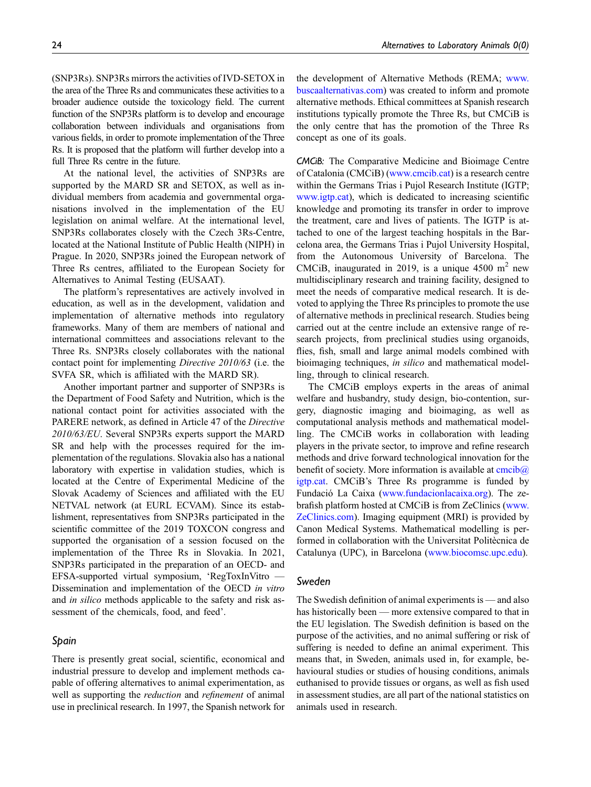(SNP3Rs). SNP3Rs mirrors the activities of IVD-SETOX in the area of the Three Rs and communicates these activities to a broader audience outside the toxicology field. The current function of the SNP3Rs platform is to develop and encourage collaboration between individuals and organisations from various fields, in order to promote implementation of the Three Rs. It is proposed that the platform will further develop into a full Three Rs centre in the future.

At the national level, the activities of SNP3Rs are supported by the MARD SR and SETOX, as well as individual members from academia and governmental organisations involved in the implementation of the EU legislation on animal welfare. At the international level, SNP3Rs collaborates closely with the Czech 3Rs-Centre, located at the National Institute of Public Health (NIPH) in Prague. In 2020, SNP3Rs joined the European network of Three Rs centres, affiliated to the European Society for Alternatives to Animal Testing (EUSAAT).

The platform's representatives are actively involved in education, as well as in the development, validation and implementation of alternative methods into regulatory frameworks. Many of them are members of national and international committees and associations relevant to the Three Rs. SNP3Rs closely collaborates with the national contact point for implementing Directive 2010/63 (i.e. the SVFA SR, which is affiliated with the MARD SR).

Another important partner and supporter of SNP3Rs is the Department of Food Safety and Nutrition, which is the national contact point for activities associated with the PARERE network, as defined in Article 47 of the Directive 2010/63/EU. Several SNP3Rs experts support the MARD SR and help with the processes required for the implementation of the regulations. Slovakia also has a national laboratory with expertise in validation studies, which is located at the Centre of Experimental Medicine of the Slovak Academy of Sciences and affiliated with the EU NETVAL network (at EURL ECVAM). Since its establishment, representatives from SNP3Rs participated in the scientific committee of the 2019 TOXCON congress and supported the organisation of a session focused on the implementation of the Three Rs in Slovakia. In 2021, SNP3Rs participated in the preparation of an OECD- and EFSA-supported virtual symposium, 'RegToxInVitro — Dissemination and implementation of the OECD in vitro and *in silico* methods applicable to the safety and risk assessment of the chemicals, food, and feed'.

# Spain

There is presently great social, scientific, economical and industrial pressure to develop and implement methods capable of offering alternatives to animal experimentation, as well as supporting the *reduction* and *refinement* of animal use in preclinical research. In 1997, the Spanish network for the development of Alternative Methods (REMA; [www.](http://www.buscaalternativas.com/) [buscaalternativas.com](http://www.buscaalternativas.com/)) was created to inform and promote alternative methods. Ethical committees at Spanish research institutions typically promote the Three Rs, but CMCiB is the only centre that has the promotion of the Three Rs concept as one of its goals.

CMCiB: The Comparative Medicine and Bioimage Centre of Catalonia (CMCiB) ([www.cmcib.cat\)](http://www.cmcib.cat/) is a research centre within the Germans Trias i Pujol Research Institute (IGTP; [www.igtp.cat\)](http://www.igtp.cat), which is dedicated to increasing scientific knowledge and promoting its transfer in order to improve the treatment, care and lives of patients. The IGTP is attached to one of the largest teaching hospitals in the Barcelona area, the Germans Trias i Pujol University Hospital, from the Autonomous University of Barcelona. The CMCiB, inaugurated in 2019, is a unique 4500  $m<sup>2</sup>$  new multidisciplinary research and training facility, designed to meet the needs of comparative medical research. It is devoted to applying the Three Rs principles to promote the use of alternative methods in preclinical research. Studies being carried out at the centre include an extensive range of research projects, from preclinical studies using organoids, flies, fish, small and large animal models combined with bioimaging techniques, in silico and mathematical modelling, through to clinical research.

The CMCiB employs experts in the areas of animal welfare and husbandry, study design, bio-contention, surgery, diagnostic imaging and bioimaging, as well as computational analysis methods and mathematical modelling. The CMCiB works in collaboration with leading players in the private sector, to improve and refine research methods and drive forward technological innovation for the benefit of society. More information is available at  $\overline{\text{cmcib}(a)}$ [igtp.cat](mailto:cmcib@igtp.cat). CMCiB's Three Rs programme is funded by Fundació La Caixa [\(www.fundacionlacaixa.org\)](http://www.fundacionlacaixa.org/). The zebrafish platform hosted at CMCiB is from ZeClinics [\(www.](http://www.zeclinics.com/) [ZeClinics.com\)](http://www.zeclinics.com/). Imaging equipment (MRI) is provided by Canon Medical Systems. Mathematical modelling is performed in collaboration with the Universitat Politècnica de Catalunya (UPC), in Barcelona ([www.biocomsc.upc.edu\)](http://www.biocomsc.upc.edu/).

#### Sweden

The Swedish definition of animal experiments is — and also has historically been — more extensive compared to that in the EU legislation. The Swedish definition is based on the purpose of the activities, and no animal suffering or risk of suffering is needed to define an animal experiment. This means that, in Sweden, animals used in, for example, behavioural studies or studies of housing conditions, animals euthanised to provide tissues or organs, as well as fish used in assessment studies, are all part of the national statistics on animals used in research.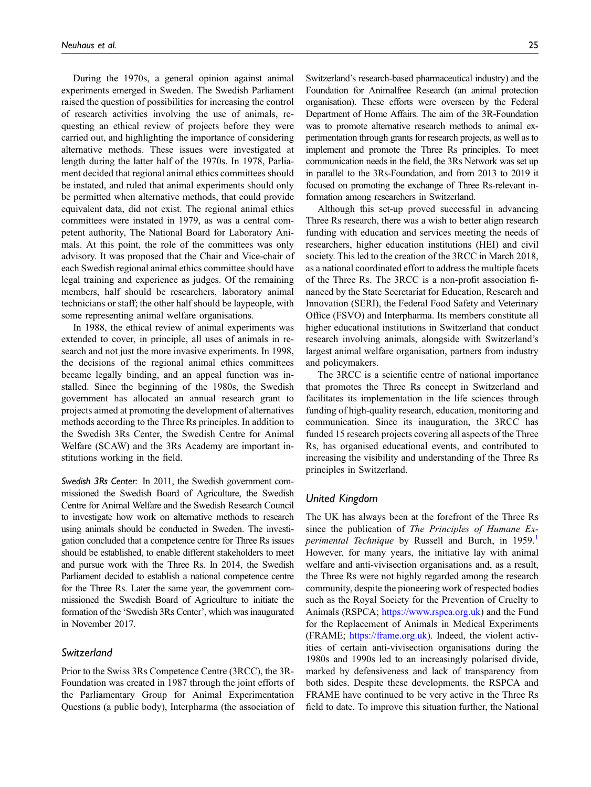During the 1970s, a general opinion against animal experiments emerged in Sweden. The Swedish Parliament raised the question of possibilities for increasing the control of research activities involving the use of animals, requesting an ethical review of projects before they were carried out, and highlighting the importance of considering alternative methods. These issues were investigated at length during the latter half of the 1970s. In 1978, Parliament decided that regional animal ethics committees should be instated, and ruled that animal experiments should only be permitted when alternative methods, that could provide equivalent data, did not exist. The regional animal ethics committees were instated in 1979, as was a central competent authority, The National Board for Laboratory Animals. At this point, the role of the committees was only advisory. It was proposed that the Chair and Vice-chair of each Swedish regional animal ethics committee should have legal training and experience as judges. Of the remaining members, half should be researchers, laboratory animal technicians or staff; the other half should be laypeople, with some representing animal welfare organisations.

In 1988, the ethical review of animal experiments was extended to cover, in principle, all uses of animals in research and not just the more invasive experiments. In 1998, the decisions of the regional animal ethics committees became legally binding, and an appeal function was installed. Since the beginning of the 1980s, the Swedish government has allocated an annual research grant to projects aimed at promoting the development of alternatives methods according to the Three Rs principles. In addition to the Swedish 3Rs Center, the Swedish Centre for Animal Welfare (SCAW) and the 3Rs Academy are important institutions working in the field.

Swedish 3Rs Center: In 2011, the Swedish government commissioned the Swedish Board of Agriculture, the Swedish Centre for Animal Welfare and the Swedish Research Council to investigate how work on alternative methods to research using animals should be conducted in Sweden. The investigation concluded that a competence centre for Three Rs issues should be established, to enable different stakeholders to meet and pursue work with the Three Rs. In 2014, the Swedish Parliament decided to establish a national competence centre for the Three Rs. Later the same year, the government commissioned the Swedish Board of Agriculture to initiate the formation of the 'Swedish 3Rs Center', which was inaugurated in November 2017.

#### Switzerland

Prior to the Swiss 3Rs Competence Centre (3RCC), the 3R-Foundation was created in 1987 through the joint efforts of the Parliamentary Group for Animal Experimentation Questions (a public body), Interpharma (the association of Switzerland's research-based pharmaceutical industry) and the Foundation for Animalfree Research (an animal protection organisation). These efforts were overseen by the Federal Department of Home Affairs. The aim of the 3R-Foundation was to promote alternative research methods to animal experimentation through grants for research projects, as well as to implement and promote the Three Rs principles. To meet communication needs in the field, the 3Rs Network was set up in parallel to the 3Rs-Foundation, and from 2013 to 2019 it focused on promoting the exchange of Three Rs-relevant information among researchers in Switzerland.

Although this set-up proved successful in advancing Three Rs research, there was a wish to better align research funding with education and services meeting the needs of researchers, higher education institutions (HEI) and civil society. This led to the creation of the 3RCC in March 2018, as a national coordinated effort to address the multiple facets of the Three Rs. The 3RCC is a non-profit association financed by the State Secretariat for Education, Research and Innovation (SERI), the Federal Food Safety and Veterinary Office (FSVO) and Interpharma. Its members constitute all higher educational institutions in Switzerland that conduct research involving animals, alongside with Switzerland's largest animal welfare organisation, partners from industry and policymakers.

The 3RCC is a scientific centre of national importance that promotes the Three Rs concept in Switzerland and facilitates its implementation in the life sciences through funding of high-quality research, education, monitoring and communication. Since its inauguration, the 3RCC has funded 15 research projects covering all aspects of the Three Rs, has organised educational events, and contributed to increasing the visibility and understanding of the Three Rs principles in Switzerland.

#### United Kingdom

The UK has always been at the forefront of the Three Rs since the publication of The Principles of Humane Ex-perimental Technique by Russell and Burch, in [1](#page-26-0)959. However, for many years, the initiative lay with animal welfare and anti-vivisection organisations and, as a result, the Three Rs were not highly regarded among the research community, despite the pioneering work of respected bodies such as the Royal Society for the Prevention of Cruelty to Animals (RSPCA; <https://www.rspca.org.uk>) and the Fund for the Replacement of Animals in Medical Experiments (FRAME; [https://frame.org.uk\)](https://frame.org.uk/). Indeed, the violent activities of certain anti-vivisection organisations during the 1980s and 1990s led to an increasingly polarised divide, marked by defensiveness and lack of transparency from both sides. Despite these developments, the RSPCA and FRAME have continued to be very active in the Three Rs field to date. To improve this situation further, the National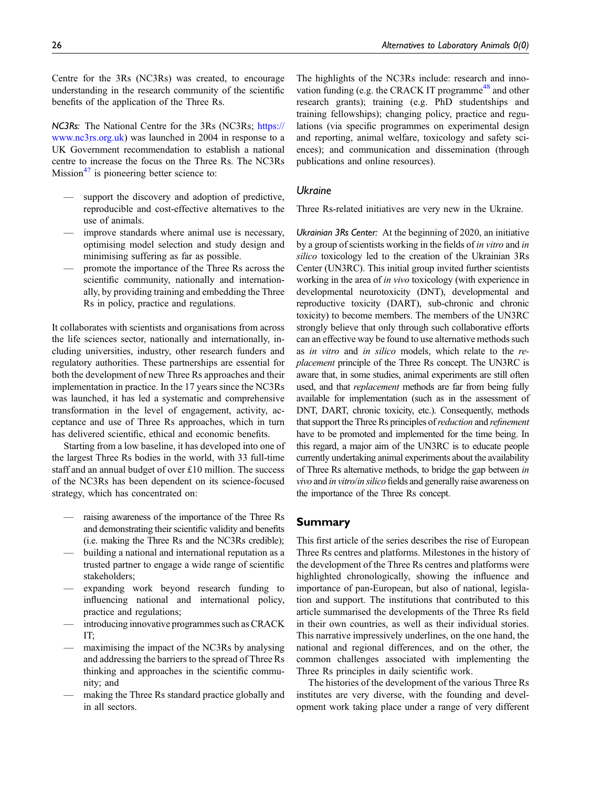Centre for the 3Rs (NC3Rs) was created, to encourage understanding in the research community of the scientific benefits of the application of the Three Rs.

NC3Rs: The National Centre for the 3Rs (NC3Rs; [https://](https://www.nc3rs.org.uk) [www.nc3rs.org.uk](https://www.nc3rs.org.uk)) was launched in 2004 in response to a UK Government recommendation to establish a national centre to increase the focus on the Three Rs. The NC3Rs Mission $47$  is pioneering better science to:

- support the discovery and adoption of predictive, reproducible and cost-effective alternatives to the use of animals.
- improve standards where animal use is necessary, optimising model selection and study design and minimising suffering as far as possible.
- promote the importance of the Three Rs across the scientific community, nationally and internationally, by providing training and embedding the Three Rs in policy, practice and regulations.

It collaborates with scientists and organisations from across the life sciences sector, nationally and internationally, including universities, industry, other research funders and regulatory authorities. These partnerships are essential for both the development of new Three Rs approaches and their implementation in practice. In the 17 years since the NC3Rs was launched, it has led a systematic and comprehensive transformation in the level of engagement, activity, acceptance and use of Three Rs approaches, which in turn has delivered scientific, ethical and economic benefits.

Starting from a low baseline, it has developed into one of the largest Three Rs bodies in the world, with 33 full-time staff and an annual budget of over £10 million. The success of the NC3Rs has been dependent on its science-focused strategy, which has concentrated on:

- raising awareness of the importance of the Three Rs and demonstrating their scientific validity and benefits (i.e. making the Three Rs and the NC3Rs credible);
- building a national and international reputation as a trusted partner to engage a wide range of scientific stakeholders;
- expanding work beyond research funding to influencing national and international policy, practice and regulations;
- introducing innovative programmes such as CRACK IT;
- maximising the impact of the NC3Rs by analysing and addressing the barriers to the spread of Three Rs thinking and approaches in the scientific community; and
- making the Three Rs standard practice globally and in all sectors.

The highlights of the NC3Rs include: research and inno-vation funding (e.g. the CRACK IT programme<sup>[48](#page-28-4)</sup> and other research grants); training (e.g. PhD studentships and training fellowships); changing policy, practice and regulations (via specific programmes on experimental design and reporting, animal welfare, toxicology and safety sciences); and communication and dissemination (through publications and online resources).

# **Ukraine**

Three Rs-related initiatives are very new in the Ukraine.

Ukrainian 3Rs Center: At the beginning of 2020, an initiative by a group of scientists working in the fields of in vitro and in silico toxicology led to the creation of the Ukrainian 3Rs Center (UN3RC). This initial group invited further scientists working in the area of *in vivo* toxicology (with experience in developmental neurotoxicity (DNT), developmental and reproductive toxicity (DART), sub-chronic and chronic toxicity) to become members. The members of the UN3RC strongly believe that only through such collaborative efforts can an effective way be found to use alternative methods such as in vitro and in silico models, which relate to the replacement principle of the Three Rs concept. The UN3RC is aware that, in some studies, animal experiments are still often used, and that *replacement* methods are far from being fully available for implementation (such as in the assessment of DNT, DART, chronic toxicity, etc.). Consequently, methods that support the Three Rs principles of *reduction* and *refinement* have to be promoted and implemented for the time being. In this regard, a major aim of the UN3RC is to educate people currently undertaking animal experiments about the availability of Three Rs alternative methods, to bridge the gap between in vivo and in vitro/in silico fields and generally raise awareness on the importance of the Three Rs concept.

# Summary

This first article of the series describes the rise of European Three Rs centres and platforms. Milestones in the history of the development of the Three Rs centres and platforms were highlighted chronologically, showing the influence and importance of pan-European, but also of national, legislation and support. The institutions that contributed to this article summarised the developments of the Three Rs field in their own countries, as well as their individual stories. This narrative impressively underlines, on the one hand, the national and regional differences, and on the other, the common challenges associated with implementing the Three Rs principles in daily scientific work.

The histories of the development of the various Three Rs institutes are very diverse, with the founding and development work taking place under a range of very different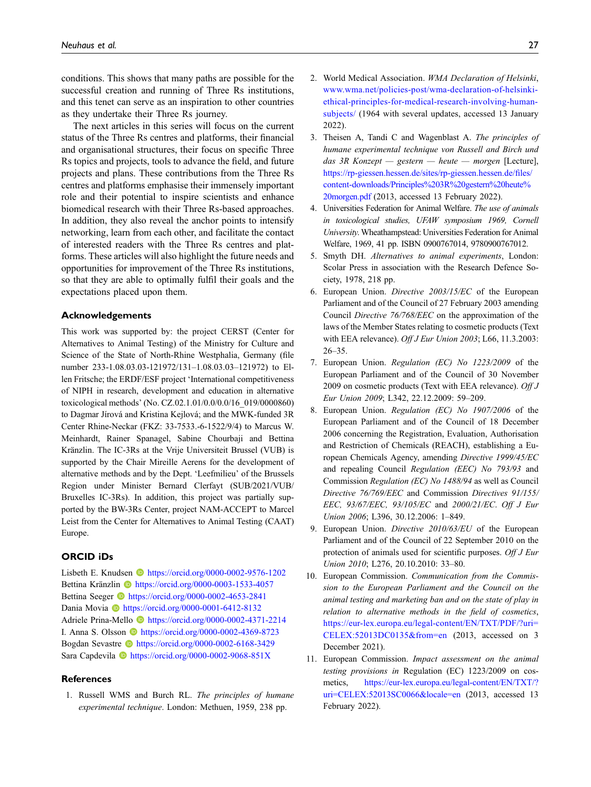conditions. This shows that many paths are possible for the successful creation and running of Three Rs institutions, and this tenet can serve as an inspiration to other countries as they undertake their Three Rs journey.

The next articles in this series will focus on the current status of the Three Rs centres and platforms, their financial and organisational structures, their focus on specific Three Rs topics and projects, tools to advance the field, and future projects and plans. These contributions from the Three Rs centres and platforms emphasise their immensely important role and their potential to inspire scientists and enhance biomedical research with their Three Rs-based approaches. In addition, they also reveal the anchor points to intensify networking, learn from each other, and facilitate the contact of interested readers with the Three Rs centres and platforms. These articles will also highlight the future needs and opportunities for improvement of the Three Rs institutions, so that they are able to optimally fulfil their goals and the expectations placed upon them.

#### Acknowledgements

This work was supported by: the project CERST (Center for Alternatives to Animal Testing) of the Ministry for Culture and Science of the State of North-Rhine Westphalia, Germany (file number 233-1.08.03.03-121972/131–1.08.03.03–121972) to Ellen Fritsche; the ERDF/ESF project 'International competitiveness of NIPH in research, development and education in alternative toxicological methods' (No. CZ.02.1.01/0.0/0.0/16\_019/0000860) to Dagmar Jírová and Kristina Kejlová; and the MWK-funded 3R Center Rhine-Neckar (FKZ: 33-7533.-6-1522/9/4) to Marcus W. Meinhardt, Rainer Spanagel, Sabine Chourbaji and Bettina Kränzlin. The IC-3Rs at the Vrije Universiteit Brussel (VUB) is supported by the Chair Mireille Aerens for the development of alternative methods and by the Dept. 'Leefmilieu' of the Brussels Region under Minister Bernard Clerfayt (SUB/2021/VUB/ Bruxelles IC-3Rs). In addition, this project was partially supported by the BW-3Rs Center, project NAM-ACCEPT to Marcel Leist from the Center for Alternatives to Animal Testing (CAAT) Europe.

#### ORCID iDs

Lisbeth E. Knudsen **b** <https://orcid.org/0000-0002-9576-1202> Bettina Kränzlin i <https://orcid.org/0000-0003-1533-4057> Bettina Seeger **ID** <https://orcid.org/0000-0002-4653-2841> Dania Movia **b** <https://orcid.org/0000-0001-6412-8132> Adriele Prina-Mello <https://orcid.org/0000-0002-4371-2214> I. Anna S. Olsson **b** <https://orcid.org/0000-0002-4369-8723> Bogdan Sevastre <https://orcid.org/0000-0002-6168-3429> Sara Capdevila **I** <https://orcid.org/0000-0002-9068-851X>

#### **References**

<span id="page-26-0"></span>1. Russell WMS and Burch RL. The principles of humane experimental technique. London: Methuen, 1959, 238 pp.

- <span id="page-26-1"></span>2. World Medical Association. WMA Declaration of Helsinki, [www.wma.net/policies-post/wma-declaration-of-helsinki](http://www.wma.net/policies-post/wma-declaration-of-helsinki-ethical-principles-for-medical-research-involving-human-subjects/)[ethical-principles-for-medical-research-involving-human](http://www.wma.net/policies-post/wma-declaration-of-helsinki-ethical-principles-for-medical-research-involving-human-subjects/)[subjects/](http://www.wma.net/policies-post/wma-declaration-of-helsinki-ethical-principles-for-medical-research-involving-human-subjects/) (1964 with several updates, accessed 13 January 2022).
- <span id="page-26-2"></span>3. Theisen A, Tandi C and Wagenblast A. The principles of humane experimental technique von Russell and Birch und das 3R Konzept — gestern — heute — morgen [Lecture], [https://rp-giessen.hessen.de/sites/rp-giessen.hessen.de/](https://rp-giessen.hessen.de/sites/rp-giessen.hessen.de/files/content-downloads/Principles%203R%20gestern%20heute%20morgen.pdf)files/ [content-downloads/Principles%203R%20gestern%20heute%](https://rp-giessen.hessen.de/sites/rp-giessen.hessen.de/files/content-downloads/Principles%203R%20gestern%20heute%20morgen.pdf) [20morgen.pdf](https://rp-giessen.hessen.de/sites/rp-giessen.hessen.de/files/content-downloads/Principles%203R%20gestern%20heute%20morgen.pdf) (2013, accessed 13 February 2022).
- <span id="page-26-3"></span>4. Universities Federation for Animal Welfare. The use of animals in toxicological studies, UFAW symposium 1969, Cornell University. Wheathampstead: Universities Federation for Animal Welfare, 1969, 41 pp. ISBN 0900767014, 9780900767012.
- <span id="page-26-4"></span>5. Smyth DH. Alternatives to animal experiments, London: Scolar Press in association with the Research Defence Society, 1978, 218 pp.
- <span id="page-26-5"></span>6. European Union. Directive 2003/15/EC of the European Parliament and of the Council of 27 February 2003 amending Council Directive 76/768/EEC on the approximation of the laws of the Member States relating to cosmetic products (Text with EEA relevance). Off J Eur Union 2003; L66, 11.3.2003: 26–35.
- <span id="page-26-6"></span>7. European Union. Regulation (EC) No 1223/2009 of the European Parliament and of the Council of 30 November 2009 on cosmetic products (Text with EEA relevance). Off  $J$ Eur Union 2009; L342, 22.12.2009: 59–209.
- <span id="page-26-7"></span>8. European Union. Regulation (EC) No 1907/2006 of the European Parliament and of the Council of 18 December 2006 concerning the Registration, Evaluation, Authorisation and Restriction of Chemicals (REACH), establishing a European Chemicals Agency, amending Directive 1999/45/EC and repealing Council Regulation (EEC) No 793/93 and Commission Regulation (EC) No 1488/94 as well as Council Directive 76/769/EEC and Commission Directives 91/155/ EEC, 93/67/EEC, 93/105/EC and 2000/21/EC. Off J Eur Union 2006; L396, 30.12.2006: 1–849.
- <span id="page-26-8"></span>9. European Union. Directive 2010/63/EU of the European Parliament and of the Council of 22 September 2010 on the protection of animals used for scientific purposes. Off J Eur Union 2010; L276, 20.10.2010: 33–80.
- <span id="page-26-9"></span>10. European Commission. Communication from the Commission to the European Parliament and the Council on the animal testing and marketing ban and on the state of play in relation to alternative methods in the field of cosmetics, [https://eur-lex.europa.eu/legal-content/EN/TXT/PDF/?uri=](https://eur-lex.europa.eu/legal-content/EN/TXT/PDF/?uri=CELEX:52013DC0135&from=en) [CELEX:52013DC0135&from=en](https://eur-lex.europa.eu/legal-content/EN/TXT/PDF/?uri=CELEX:52013DC0135&from=en) (2013, accessed on 3 December 2021).
- <span id="page-26-10"></span>11. European Commission. Impact assessment on the animal testing provisions in Regulation (EC) 1223/2009 on cosmetics, [https://eur-lex.europa.eu/legal-content/EN/TXT/?](https://eur-lex.europa.eu/legal-content/EN/TXT/?uri=CELEX:52013SC0066&locale=en) [uri=CELEX:52013SC0066&locale=en](https://eur-lex.europa.eu/legal-content/EN/TXT/?uri=CELEX:52013SC0066&locale=en) (2013, accessed 13 February 2022).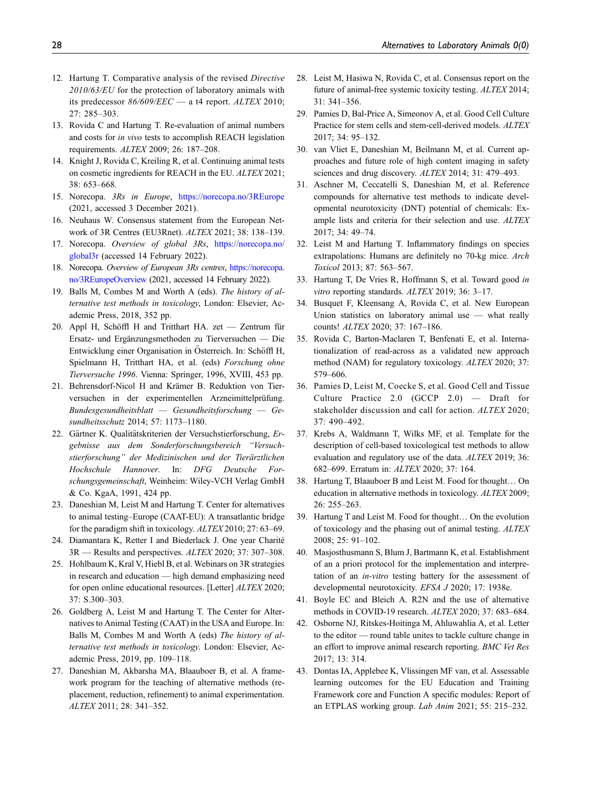- <span id="page-27-0"></span>12. Hartung T. Comparative analysis of the revised Directive 2010/63/EU for the protection of laboratory animals with its predecessor  $86/609/EEC$  — a t4 report. ALTEX 2010; 27: 285–303.
- <span id="page-27-1"></span>13. Rovida C and Hartung T. Re-evaluation of animal numbers and costs for in vivo tests to accomplish REACH legislation requirements. ALTEX 2009; 26: 187–208.
- <span id="page-27-2"></span>14. Knight J, Rovida C, Kreiling R, et al. Continuing animal tests on cosmetic ingredients for REACH in the EU. ALTEX 2021; 38: 653–668.
- <span id="page-27-3"></span>15. Norecopa. 3Rs in Europe, <https://norecopa.no/3REurope> (2021, accessed 3 December 2021).
- <span id="page-27-4"></span>16. Neuhaus W. Consensus statement from the European Network of 3R Centres (EU3Rnet). ALTEX 2021; 38: 138–139.
- <span id="page-27-5"></span>17. Norecopa. Overview of global 3Rs, [https://norecopa.no/](https://norecopa.no/global3r) [global3r](https://norecopa.no/global3r) (accessed 14 February 2022).
- <span id="page-27-6"></span>18. Norecopa. Overview of European 3Rs centres, [https://norecopa.](https://norecopa.no/3REuropeOverview) [no/3REuropeOverview](https://norecopa.no/3REuropeOverview) (2021, accessed 14 February 2022).
- <span id="page-27-7"></span>19. Balls M, Combes M and Worth A (eds). The history of alternative test methods in toxicology, London: Elsevier, Academic Press, 2018, 352 pp.
- <span id="page-27-8"></span>20. Appl H, Schöffl H and Tritthart HA. zet — Zentrum für Ersatz- und Ergänzungsmethoden zu Tierversuchen — Die Entwicklung einer Organisation in Österreich. In: Schöffl H, Spielmann H, Tritthart HA, et al. (eds) Forschung ohne Tierversuche 1996. Vienna: Springer, 1996, XVIII, 453 pp.
- <span id="page-27-9"></span>21. Behrensdorf-Nicol H and Krämer B. Reduktion von Tierversuchen in der experimentellen Arzneimittelprüfung. Bundesgesundheitsblatt — Gesundheitsforschung — Gesundheitsschutz 2014; 57: 1173–1180.
- <span id="page-27-10"></span>22. Gärtner K. Qualitätskriterien der Versuchstierforschung, Ergebnisse aus dem Sonderforschungsbereich "Versuchstierforschung" der Medizinischen und der Tierärztlichen Hochschule Hannover. In: DFG Deutsche Forschungsgemeinschaft, Weinheim: Wiley-VCH Verlag GmbH & Co. KgaA, 1991, 424 pp.
- <span id="page-27-11"></span>23. Daneshian M, Leist M and Hartung T. Center for alternatives to animal testing–Europe (CAAT-EU): A transatlantic bridge for the paradigm shift in toxicology. ALTEX 2010; 27: 63–69.
- <span id="page-27-12"></span>24. Diamantara K, Retter I and Biederlack J. One year Charité 3R — Results and perspectives. ALTEX 2020; 37: 307–308.
- <span id="page-27-13"></span>25. Hohlbaum K, Kral V, Hiebl B, et al. Webinars on 3R strategies in research and education — high demand emphasizing need for open online educational resources. [Letter] ALTEX 2020; 37: S.300–303.
- <span id="page-27-14"></span>26. Goldberg A, Leist M and Hartung T. The Center for Alternatives to Animal Testing (CAAT) in the USA and Europe. In: Balls M, Combes M and Worth A (eds) The history of alternative test methods in toxicology. London: Elsevier, Academic Press, 2019, pp. 109–118.
- <span id="page-27-15"></span>27. Daneshian M, Akbarsha MA, Blaauboer B, et al. A framework program for the teaching of alternative methods (replacement, reduction, refinement) to animal experimentation. ALTEX 2011; 28: 341–352.
- 28. Leist M, Hasiwa N, Rovida C, et al. Consensus report on the future of animal-free systemic toxicity testing. ALTEX 2014; 31: 341–356.
- 29. Pamies D, Bal-Price A, Simeonov A, et al. Good Cell Culture Practice for stem cells and stem-cell-derived models. ALTEX 2017; 34: 95–132.
- 30. van Vliet E, Daneshian M, Beilmann M, et al. Current approaches and future role of high content imaging in safety sciences and drug discovery. ALTEX 2014; 31: 479–493.
- 31. Aschner M, Ceccatelli S, Daneshian M, et al. Reference compounds for alternative test methods to indicate developmental neurotoxicity (DNT) potential of chemicals: Example lists and criteria for their selection and use. ALTEX 2017; 34: 49–74.
- 32. Leist M and Hartung T. Inflammatory findings on species extrapolations: Humans are definitely no 70-kg mice. Arch Toxicol 2013; 87: 563–567.
- 33. Hartung T, De Vries R, Hoffmann S, et al. Toward good in vitro reporting standards. ALTEX 2019; 36: 3–17.
- 34. Busquet F, Kleensang A, Rovida C, et al. New European Union statistics on laboratory animal use — what really counts! ALTEX 2020; 37: 167–186.
- 35. Rovida C, Barton-Maclaren T, Benfenati E, et al. Internationalization of read-across as a validated new approach method (NAM) for regulatory toxicology. ALTEX 2020; 37: 579–606.
- 36. Pamies D, Leist M, Coecke S, et al. Good Cell and Tissue Culture Practice 2.0 (GCCP 2.0) — Draft for stakeholder discussion and call for action. ALTEX 2020; 37: 490–492.
- 37. Krebs A, Waldmann T, Wilks MF, et al. Template for the description of cell-based toxicological test methods to allow evaluation and regulatory use of the data. ALTEX 2019; 36: 682–699. Erratum in: ALTEX 2020; 37: 164.
- 38. Hartung T, Blaauboer B and Leist M. Food for thought… On education in alternative methods in toxicology. ALTEX 2009; 26: 255–263.
- <span id="page-27-16"></span>39. Hartung T and Leist M. Food for thought… On the evolution of toxicology and the phasing out of animal testing. ALTEX 2008; 25: 91–102.
- <span id="page-27-17"></span>40. Masjosthusmann S, Blum J, Bartmann K, et al. Establishment of an a priori protocol for the implementation and interpretation of an in-vitro testing battery for the assessment of developmental neurotoxicity. EFSA J 2020; 17: 1938e.
- <span id="page-27-18"></span>41. Boyle EC and Bleich A. R2N and the use of alternative methods in COVID-19 research. ALTEX 2020; 37: 683–684.
- <span id="page-27-19"></span>42. Osborne NJ, Ritskes-Hoitinga M, Ahluwahlia A, et al. Letter to the editor — round table unites to tackle culture change in an effort to improve animal research reporting. BMC Vet Res 2017; 13: 314.
- <span id="page-27-20"></span>43. Dontas IA, Applebee K, Vlissingen MF van, et al. Assessable learning outcomes for the EU Education and Training Framework core and Function A specific modules: Report of an ETPLAS working group. Lab Anim 2021; 55: 215–232.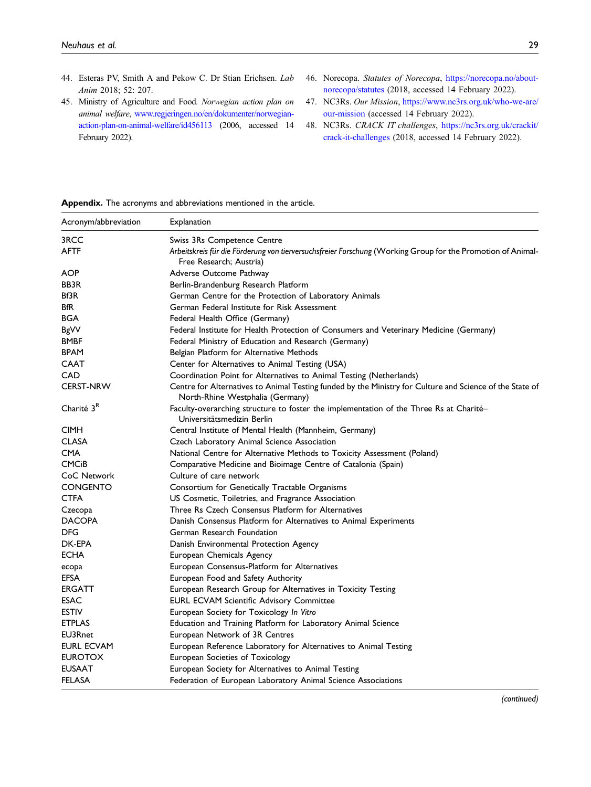- <span id="page-28-0"></span>44. Esteras PV, Smith A and Pekow C. Dr Stian Erichsen. Lab Anim 2018; 52: 207.
- <span id="page-28-1"></span>45. Ministry of Agriculture and Food. Norwegian action plan on animal welfare, [www.regjeringen.no/en/dokumenter/norwegian](http://www.regjeringen.no/en/dokumenter/norwegian-action-plan-on-animal-welfare/id456113)[action-plan-on-animal-welfare/id456113](http://www.regjeringen.no/en/dokumenter/norwegian-action-plan-on-animal-welfare/id456113) (2006, accessed 14 February 2022).
- <span id="page-28-2"></span>46. Norecopa. Statutes of Norecopa, [https://norecopa.no/about](https://norecopa.no/about-norecopa/statutes)[norecopa/statutes](https://norecopa.no/about-norecopa/statutes) (2018, accessed 14 February 2022).
- <span id="page-28-3"></span>47. NC3Rs. Our Mission, [https://www.nc3rs.org.uk/who-we-are/](https://www.nc3rs.org.uk/who-we-are/our-mission) [our-mission](https://www.nc3rs.org.uk/who-we-are/our-mission) (accessed 14 February 2022).
- <span id="page-28-4"></span>48. NC3Rs. CRACK IT challenges, [https://nc3rs.org.uk/crackit/](https://nc3rs.org.uk/crackit/crack-it-challenges) [crack-it-challenges](https://nc3rs.org.uk/crackit/crack-it-challenges) (2018, accessed 14 February 2022).

#### Appendix. The acronyms and abbreviations mentioned in the article.

| Acronym/abbreviation    | Explanation                                                                                                                                  |  |
|-------------------------|----------------------------------------------------------------------------------------------------------------------------------------------|--|
| 3RCC                    | Swiss 3Rs Competence Centre                                                                                                                  |  |
| <b>AFTF</b>             | Arbeitskreis für die Förderung von tierversuchsfreier Forschung (Working Group for the Promotion of Animal-<br>Free Research; Austria)       |  |
| <b>AOP</b>              | Adverse Outcome Pathway                                                                                                                      |  |
| <b>BB3R</b>             | Berlin-Brandenburg Research Platform                                                                                                         |  |
| Bf3R                    | German Centre for the Protection of Laboratory Animals                                                                                       |  |
| <b>BfR</b>              | German Federal Institute for Risk Assessment                                                                                                 |  |
| BGA                     | Federal Health Office (Germany)                                                                                                              |  |
| <b>BgVV</b>             | Federal Institute for Health Protection of Consumers and Veterinary Medicine (Germany)                                                       |  |
| <b>BMBF</b>             | Federal Ministry of Education and Research (Germany)                                                                                         |  |
| <b>BPAM</b>             | Belgian Platform for Alternative Methods                                                                                                     |  |
| CAAT                    | Center for Alternatives to Animal Testing (USA)                                                                                              |  |
| CAD                     | Coordination Point for Alternatives to Animal Testing (Netherlands)                                                                          |  |
| <b>CERST-NRW</b>        | Centre for Alternatives to Animal Testing funded by the Ministry for Culture and Science of the State of<br>North-Rhine Westphalia (Germany) |  |
| Charité 3 <sup>R</sup>  | Faculty-overarching structure to foster the implementation of the Three Rs at Charité-<br>Universitätsmedizin Berlin                         |  |
| <b>CIMH</b>             | Central Institute of Mental Health (Mannheim, Germany)                                                                                       |  |
| <b>CLASA</b>            | Czech Laboratory Animal Science Association                                                                                                  |  |
| <b>CMA</b>              | National Centre for Alternative Methods to Toxicity Assessment (Poland)                                                                      |  |
| <b>CMC<sub>i</sub>B</b> | Comparative Medicine and Bioimage Centre of Catalonia (Spain)                                                                                |  |
| CoC Network             | Culture of care network                                                                                                                      |  |
| <b>CONGENTO</b>         | Consortium for Genetically Tractable Organisms                                                                                               |  |
| <b>CTFA</b>             | US Cosmetic, Toiletries, and Fragrance Association                                                                                           |  |
| Czecopa                 | Three Rs Czech Consensus Platform for Alternatives                                                                                           |  |
| <b>DACOPA</b>           | Danish Consensus Platform for Alternatives to Animal Experiments                                                                             |  |
| DFG                     | German Research Foundation                                                                                                                   |  |
| DK-EPA                  | Danish Environmental Protection Agency                                                                                                       |  |
| <b>ECHA</b>             | European Chemicals Agency                                                                                                                    |  |
| ecopa                   | European Consensus-Platform for Alternatives                                                                                                 |  |
| EFSA                    | European Food and Safety Authority                                                                                                           |  |
| <b>ERGATT</b>           | European Research Group for Alternatives in Toxicity Testing                                                                                 |  |
| <b>ESAC</b>             | <b>EURL ECVAM Scientific Advisory Committee</b>                                                                                              |  |
| <b>ESTIV</b>            | European Society for Toxicology In Vitro                                                                                                     |  |
| <b>ETPLAS</b>           | Education and Training Platform for Laboratory Animal Science                                                                                |  |
| EU3Rnet                 | European Network of 3R Centres                                                                                                               |  |
| EURL ECVAM              | European Reference Laboratory for Alternatives to Animal Testing                                                                             |  |
| <b>EUROTOX</b>          | European Societies of Toxicology                                                                                                             |  |
| <b>EUSAAT</b>           | European Society for Alternatives to Animal Testing                                                                                          |  |
| <b>FELASA</b>           | Federation of European Laboratory Animal Science Associations                                                                                |  |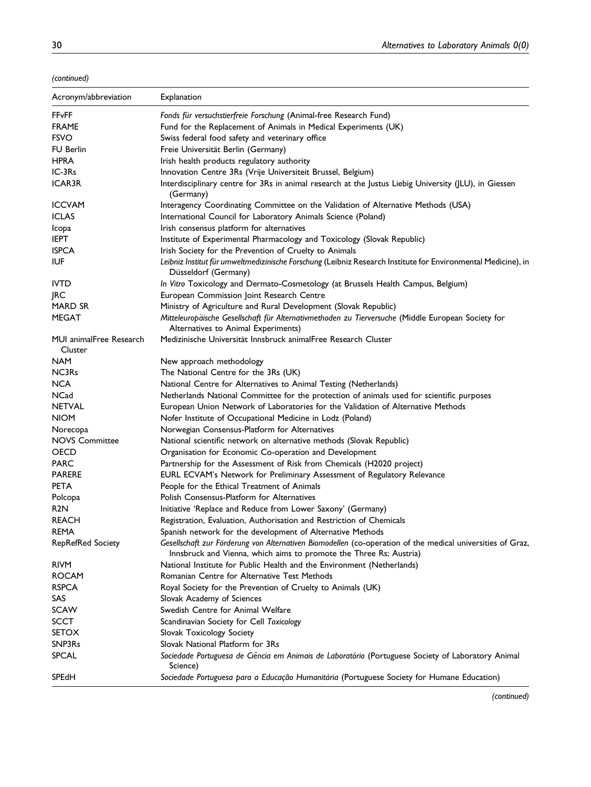(continued)

| Acronym/abbreviation               | Explanation                                                                                                                                                                      |
|------------------------------------|----------------------------------------------------------------------------------------------------------------------------------------------------------------------------------|
| <b>FFvFF</b>                       | Fonds für versuchstierfreie Forschung (Animal-free Research Fund)                                                                                                                |
| <b>FRAME</b>                       | Fund for the Replacement of Animals in Medical Experiments (UK)                                                                                                                  |
| <b>FSVO</b>                        | Swiss federal food safety and veterinary office                                                                                                                                  |
| <b>FU Berlin</b>                   | Freie Universität Berlin (Germany)                                                                                                                                               |
| <b>HPRA</b>                        | Irish health products regulatory authority                                                                                                                                       |
| IC-3Rs                             | Innovation Centre 3Rs (Vrije Universiteit Brussel, Belgium)                                                                                                                      |
| <b>ICAR3R</b>                      | Interdisciplinary centre for 3Rs in animal research at the Justus Liebig University (JLU), in Giessen<br>(Germany)                                                               |
| <b>ICCVAM</b>                      | Interagency Coordinating Committee on the Validation of Alternative Methods (USA)                                                                                                |
| <b>ICLAS</b>                       | International Council for Laboratory Animals Science (Poland)                                                                                                                    |
| Icopa                              | Irish consensus platform for alternatives                                                                                                                                        |
| <b>IEPT</b>                        | Institute of Experimental Pharmacology and Toxicology (Slovak Republic)                                                                                                          |
| <b>ISPCA</b>                       | Irish Society for the Prevention of Cruelty to Animals                                                                                                                           |
| IUF                                | Leibniz Institut für umweltmedizinische Forschung (Leibniz Research Institute for Environmental Medicine), in<br>Düsseldorf (Germany)                                            |
| <b>IVTD</b>                        | In Vitro Toxicology and Dermato-Cosmetology (at Brussels Health Campus, Belgium)                                                                                                 |
| <b>IRC</b>                         | European Commission Joint Research Centre                                                                                                                                        |
| <b>MARD SR</b>                     | Ministry of Agriculture and Rural Development (Slovak Republic)                                                                                                                  |
| MEGAT                              | Mitteleuropäische Gesellschaft für Alternativmethoden zu Tierversuche (Middle European Society for<br>Alternatives to Animal Experiments)                                        |
| MUI animalFree Research<br>Cluster | Medizinische Universität Innsbruck animalFree Research Cluster                                                                                                                   |
| <b>NAM</b>                         | New approach methodology                                                                                                                                                         |
| NC3Rs                              | The National Centre for the 3Rs (UK)                                                                                                                                             |
| <b>NCA</b>                         | National Centre for Alternatives to Animal Testing (Netherlands)                                                                                                                 |
| NCad                               | Netherlands National Committee for the protection of animals used for scientific purposes                                                                                        |
| <b>NETVAL</b>                      | European Union Network of Laboratories for the Validation of Alternative Methods                                                                                                 |
| <b>NIOM</b>                        | Nofer Institute of Occupational Medicine in Lodz (Poland)                                                                                                                        |
| Norecopa                           | Norwegian Consensus-Platform for Alternatives                                                                                                                                    |
| <b>NOVS Committee</b>              | National scientific network on alternative methods (Slovak Republic)                                                                                                             |
| OECD                               | Organisation for Economic Co-operation and Development                                                                                                                           |
| <b>PARC</b>                        | Partnership for the Assessment of Risk from Chemicals (H2020 project)                                                                                                            |
| <b>PARERE</b>                      | EURL ECVAM's Network for Preliminary Assessment of Regulatory Relevance                                                                                                          |
| <b>PETA</b>                        | People for the Ethical Treatment of Animals                                                                                                                                      |
| Polcopa                            | Polish Consensus-Platform for Alternatives                                                                                                                                       |
| R2N                                | Initiative 'Replace and Reduce from Lower Saxony' (Germany)                                                                                                                      |
| <b>REACH</b>                       | Registration, Evaluation, Authorisation and Restriction of Chemicals                                                                                                             |
| REMA                               | Spanish network for the development of Alternative Methods                                                                                                                       |
| <b>RepRefRed Society</b>           | Gesellschaft zur Förderung von Alternativen Biomodellen (co-operation of the medical universities of Graz,<br>Innsbruck and Vienna, which aims to promote the Three Rs; Austria) |
| <b>RIVM</b>                        | National Institute for Public Health and the Environment (Netherlands)                                                                                                           |
| <b>ROCAM</b>                       | Romanian Centre for Alternative Test Methods                                                                                                                                     |
| <b>RSPCA</b>                       | Royal Society for the Prevention of Cruelty to Animals (UK)                                                                                                                      |
| SAS                                | Slovak Academy of Sciences                                                                                                                                                       |
| <b>SCAW</b>                        | Swedish Centre for Animal Welfare                                                                                                                                                |
| <b>SCCT</b>                        | Scandinavian Society for Cell Toxicology                                                                                                                                         |
| <b>SETOX</b>                       | Slovak Toxicology Society                                                                                                                                                        |
| SNP3Rs                             | Slovak National Platform for 3Rs                                                                                                                                                 |
| <b>SPCAL</b>                       | Sociedade Portuguesa de Ciência em Animais de Laboratório (Portuguese Society of Laboratory Animal<br>Science)                                                                   |
| SPEdH                              | Sociedade Portuguesa para a Educação Humanitária (Portuguese Society for Humane Education)                                                                                       |

(continued)